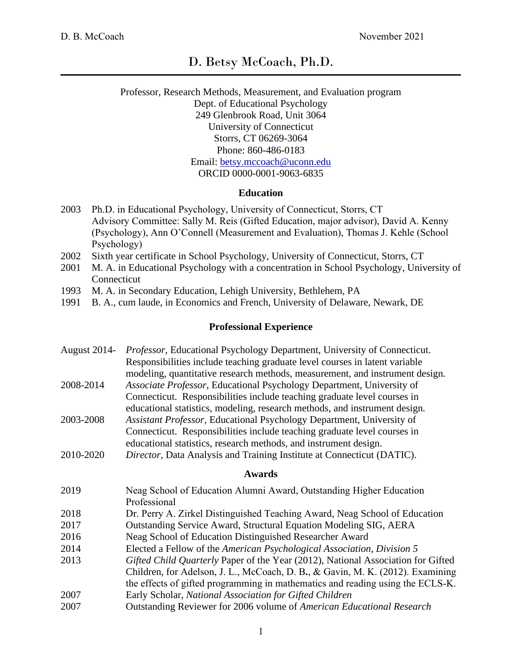# D. Betsy McCoach, Ph.D.

## Professor, Research Methods, Measurement, and Evaluation program Dept. of Educational Psychology 249 Glenbrook Road, Unit 3064 University of Connecticut Storrs, CT 06269-3064 Phone: 860-486-0183 Email: [betsy.mccoach@uconn.edu](mailto:betsy.mccoach@uconn.edu) ORCID 0000-0001-9063-6835

## **Education**

- 2003 Ph.D. in Educational Psychology, University of Connecticut, Storrs, CT Advisory Committee: Sally M. Reis (Gifted Education, major advisor), David A. Kenny (Psychology), Ann O'Connell (Measurement and Evaluation), Thomas J. Kehle (School Psychology)
- 2002 Sixth year certificate in School Psychology, University of Connecticut, Storrs, CT
- 2001 M. A. in Educational Psychology with a concentration in School Psychology, University of Connecticut
- 1993 M. A. in Secondary Education, Lehigh University, Bethlehem, PA
- 1991 B. A., cum laude, in Economics and French, University of Delaware, Newark, DE

#### **Professional Experience**

| August 2014-  | Professor, Educational Psychology Department, University of Connecticut.<br>Responsibilities include teaching graduate level courses in latent variable<br>modeling, quantitative research methods, measurement, and instrument design.                                                             |  |  |  |
|---------------|-----------------------------------------------------------------------------------------------------------------------------------------------------------------------------------------------------------------------------------------------------------------------------------------------------|--|--|--|
| 2008-2014     | Associate Professor, Educational Psychology Department, University of<br>Connecticut. Responsibilities include teaching graduate level courses in                                                                                                                                                   |  |  |  |
| 2003-2008     | educational statistics, modeling, research methods, and instrument design.<br>Assistant Professor, Educational Psychology Department, University of<br>Connecticut. Responsibilities include teaching graduate level courses in<br>educational statistics, research methods, and instrument design. |  |  |  |
| 2010-2020     | Director, Data Analysis and Training Institute at Connecticut (DATIC).                                                                                                                                                                                                                              |  |  |  |
| <b>Awards</b> |                                                                                                                                                                                                                                                                                                     |  |  |  |
| 2019          | Neag School of Education Alumni Award, Outstanding Higher Education<br>Professional                                                                                                                                                                                                                 |  |  |  |
| 2018          | Dr. Perry A. Zirkel Distinguished Teaching Award, Neag School of Education                                                                                                                                                                                                                          |  |  |  |
| 2017          | Outstanding Service Award, Structural Equation Modeling SIG, AERA                                                                                                                                                                                                                                   |  |  |  |
| 2016          | Neag School of Education Distinguished Researcher Award                                                                                                                                                                                                                                             |  |  |  |
| 2014          | Elected a Fellow of the American Psychological Association, Division 5                                                                                                                                                                                                                              |  |  |  |
| 2013          | Gifted Child Quarterly Paper of the Year (2012), National Association for Gifted<br>Children, for Adelson, J. L., McCoach, D. B., & Gavin, M. K. (2012). Examining<br>the effects of gifted programming in mathematics and reading using the ECLS-K.                                                |  |  |  |
| 2007          | Early Scholar, National Association for Gifted Children                                                                                                                                                                                                                                             |  |  |  |
| 2007          | Outstanding Reviewer for 2006 volume of American Educational Research                                                                                                                                                                                                                               |  |  |  |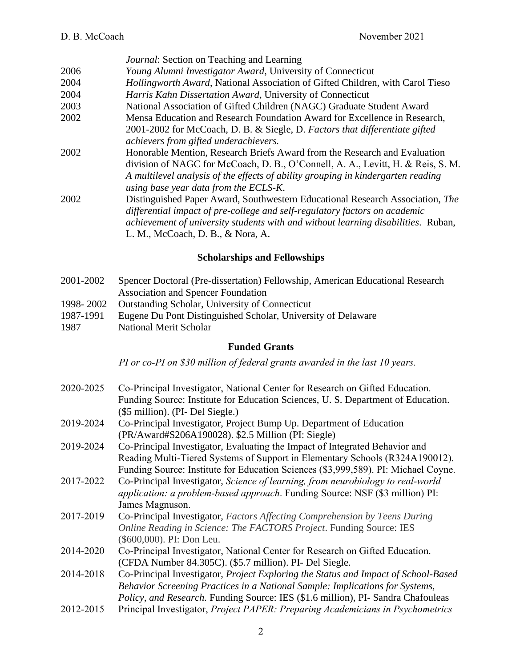|      | <i>Journal:</i> Section on Teaching and Learning                                                                                                                                                                                                                                          |
|------|-------------------------------------------------------------------------------------------------------------------------------------------------------------------------------------------------------------------------------------------------------------------------------------------|
| 2006 | Young Alumni Investigator Award, University of Connecticut                                                                                                                                                                                                                                |
| 2004 | Hollingworth Award, National Association of Gifted Children, with Carol Tieso                                                                                                                                                                                                             |
| 2004 | Harris Kahn Dissertation Award, University of Connecticut                                                                                                                                                                                                                                 |
| 2003 | National Association of Gifted Children (NAGC) Graduate Student Award                                                                                                                                                                                                                     |
| 2002 | Mensa Education and Research Foundation Award for Excellence in Research,                                                                                                                                                                                                                 |
|      | 2001-2002 for McCoach, D. B. & Siegle, D. Factors that differentiate gifted<br>achievers from gifted underachievers.                                                                                                                                                                      |
| 2002 | Honorable Mention, Research Briefs Award from the Research and Evaluation<br>division of NAGC for McCoach, D. B., O'Connell, A. A., Levitt, H. & Reis, S. M.<br>A multilevel analysis of the effects of ability grouping in kindergarten reading<br>using base year data from the ECLS-K. |
| 2002 | Distinguished Paper Award, Southwestern Educational Research Association, The<br>differential impact of pre-college and self-regulatory factors on academic<br>achievement of university students with and without learning disabilities. Ruban,<br>L. M., McCoach, D. B., & Nora, A.     |

# **Scholarships and Fellowships**

- 2001-2002 Spencer Doctoral (Pre-dissertation) Fellowship, American Educational Research Association and Spencer Foundation 1998- 2002 Outstanding Scholar, University of Connecticut
- 1987-1991 Eugene Du Pont Distinguished Scholar, University of Delaware
- 1987 National Merit Scholar

# **Funded Grants**

*PI or co-PI on \$30 million of federal grants awarded in the last 10 years.*

- 2020-2025 Co-Principal Investigator, National Center for Research on Gifted Education. Funding Source: Institute for Education Sciences, U. S. Department of Education. (\$5 million). (PI- Del Siegle.)
- 2019-2024 Co-Principal Investigator, Project Bump Up. Department of Education (PR/Award#S206A190028). \$2.5 Million (PI: Siegle)
- 2019-2024 Co-Principal Investigator, Evaluating the Impact of Integrated Behavior and Reading Multi-Tiered Systems of Support in Elementary Schools (R324A190012). Funding Source: Institute for Education Sciences (\$3,999,589). PI: Michael Coyne.
- 2017-2022 Co-Principal Investigator, *Science of learning, from neurobiology to real-world application: a problem-based approach*. Funding Source: NSF (\$3 million) PI: James Magnuson.
- 2017-2019 Co-Principal Investigator, *Factors Affecting Comprehension by Teens During Online Reading in Science: The FACTORS Project*. Funding Source: IES (\$600,000). PI: Don Leu.
- 2014-2020 Co-Principal Investigator, National Center for Research on Gifted Education. (CFDA Number 84.305C). (\$5.7 million). PI- Del Siegle.
- 2014-2018 Co-Principal Investigator, *Project Exploring the Status and Impact of School-Based Behavior Screening Practices in a National Sample: Implications for Systems, Policy, and Research.* Funding Source: IES (\$1.6 million), PI- Sandra Chafouleas
- 2012-2015 Principal Investigator, *Project PAPER: Preparing Academicians in Psychometrics*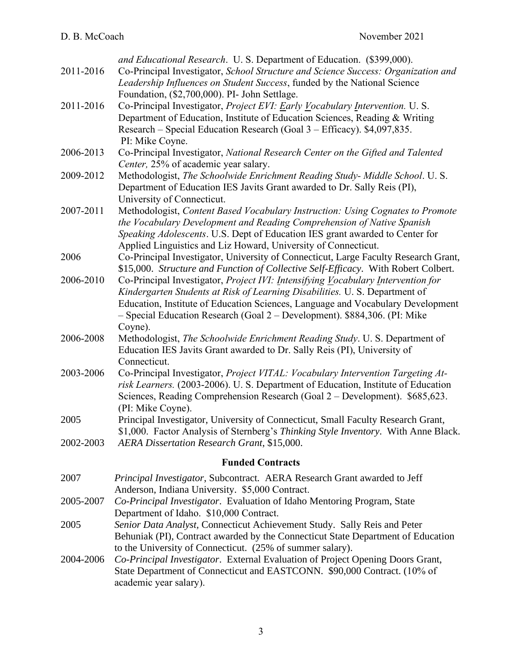| 2011-2016 | and Educational Research. U. S. Department of Education. (\$399,000).<br>Co-Principal Investigator, School Structure and Science Success: Organization and<br>Leadership Influences on Student Success, funded by the National Science                                                                                                     |
|-----------|--------------------------------------------------------------------------------------------------------------------------------------------------------------------------------------------------------------------------------------------------------------------------------------------------------------------------------------------|
| 2011-2016 | Foundation, (\$2,700,000). PI- John Settlage.<br>Co-Principal Investigator, Project EVI: Early Vocabulary Intervention. U. S.<br>Department of Education, Institute of Education Sciences, Reading & Writing<br>Research – Special Education Research (Goal 3 – Efficacy). \$4,097,835.<br>PI: Mike Coyne.                                 |
| 2006-2013 | Co-Principal Investigator, National Research Center on the Gifted and Talented<br>Center, 25% of academic year salary.                                                                                                                                                                                                                     |
| 2009-2012 | Methodologist, The Schoolwide Enrichment Reading Study- Middle School. U.S.<br>Department of Education IES Javits Grant awarded to Dr. Sally Reis (PI),<br>University of Connecticut.                                                                                                                                                      |
| 2007-2011 | Methodologist, Content Based Vocabulary Instruction: Using Cognates to Promote<br>the Vocabulary Development and Reading Comprehension of Native Spanish<br>Speaking Adolescents. U.S. Dept of Education IES grant awarded to Center for<br>Applied Linguistics and Liz Howard, University of Connecticut.                                 |
| 2006      | Co-Principal Investigator, University of Connecticut, Large Faculty Research Grant,<br>\$15,000. Structure and Function of Collective Self-Efficacy. With Robert Colbert.                                                                                                                                                                  |
| 2006-2010 | Co-Principal Investigator, Project IVI: Intensifying Vocabulary Intervention for<br>Kindergarten Students at Risk of Learning Disabilities. U. S. Department of<br>Education, Institute of Education Sciences, Language and Vocabulary Development<br>- Special Education Research (Goal 2 – Development). \$884,306. (PI: Mike<br>Coyne). |
| 2006-2008 | Methodologist, The Schoolwide Enrichment Reading Study. U. S. Department of<br>Education IES Javits Grant awarded to Dr. Sally Reis (PI), University of<br>Connecticut.                                                                                                                                                                    |
| 2003-2006 | Co-Principal Investigator, Project VITAL: Vocabulary Intervention Targeting At-<br>risk Learners. (2003-2006). U. S. Department of Education, Institute of Education<br>Sciences, Reading Comprehension Research (Goal 2 – Development). \$685,623.<br>(PI: Mike Coyne).                                                                   |
| 2005      | Principal Investigator, University of Connecticut, Small Faculty Research Grant,<br>\$1,000. Factor Analysis of Sternberg's Thinking Style Inventory. With Anne Black.                                                                                                                                                                     |
| 2002-2003 | AERA Dissertation Research Grant, \$15,000.                                                                                                                                                                                                                                                                                                |
|           | <b>Funded Contracts</b>                                                                                                                                                                                                                                                                                                                    |
| 2007      | Principal Investigator, Subcontract. AERA Research Grant awarded to Jeff<br>Anderson, Indiana University. \$5,000 Contract.                                                                                                                                                                                                                |
| 2005-2007 | Co-Principal Investigator. Evaluation of Idaho Mentoring Program, State<br>Department of Idaho. \$10,000 Contract.                                                                                                                                                                                                                         |
| 2005      | Senior Data Analyst, Connecticut Achievement Study. Sally Reis and Peter<br>Behuniak (PI), Contract awarded by the Connecticut State Department of Education<br>to the University of Connecticut. (25% of summer salary).                                                                                                                  |
| 2004-2006 | Co-Principal Investigator. External Evaluation of Project Opening Doors Grant,<br>State Department of Connecticut and EASTCONN. \$90,000 Contract. (10% of<br>academic year salary).                                                                                                                                                       |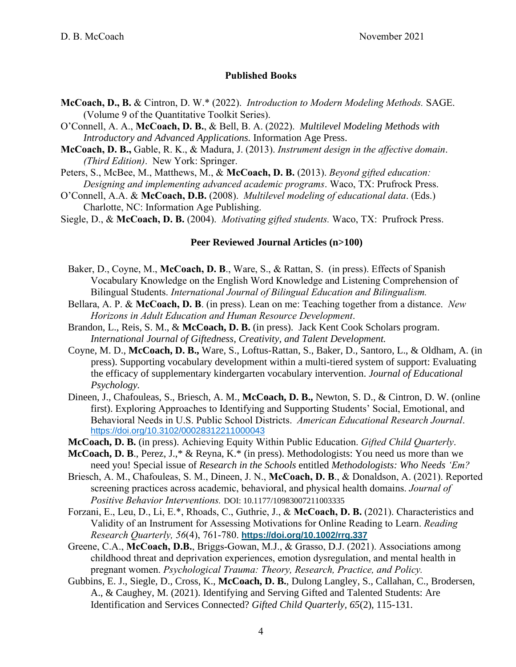#### **Published Books**

- **McCoach, D., B.** & Cintron, D. W.\* (2022).*Introduction to Modern Modeling Methods.* SAGE. (Volume 9 of the Quantitative Toolkit Series).
- O'Connell, A. A., **McCoach, D. B.**, & Bell, B. A. (2022). *Multilevel Modeling Methods with Introductory and Advanced Applications.* Information Age Press.
- **McCoach, D. B.,** Gable, R. K., & Madura, J. (2013). *Instrument design in the affective domain*. *(Third Edition)*. New York: Springer.
- Peters, S., McBee, M., Matthews, M., & **McCoach, D. B.** (2013). *Beyond gifted education: Designing and implementing advanced academic programs*. Waco, TX: Prufrock Press.
- O'Connell, A.A. & **McCoach, D.B.** (2008). *Multilevel modeling of educational data*. (Eds.) Charlotte, NC: Information Age Publishing.

Siegle, D., & **McCoach, D. B.** (2004). *Motivating gifted students.* Waco, TX: Prufrock Press.

#### **Peer Reviewed Journal Articles (n>100)**

- Baker, D., Coyne, M., **McCoach, D. B**., Ware, S., & Rattan, S. (in press). Effects of Spanish Vocabulary Knowledge on the English Word Knowledge and Listening Comprehension of Bilingual Students. *International Journal of Bilingual Education and Bilingualism.*
- Bellara, A. P. & **McCoach, D. B**. (in press). Lean on me: Teaching together from a distance. *New Horizons in Adult Education and Human Resource Development*.
- Brandon, L., Reis, S. M., & **McCoach, D. B.** (in press). Jack Kent Cook Scholars program. *International Journal of Giftedness, Creativity, and Talent Development.*
- Coyne, M. D., **McCoach, D. B.,** Ware, S., Loftus-Rattan, S., Baker, D., Santoro, L., & Oldham, A. (in press). Supporting vocabulary development within a multi-tiered system of support: Evaluating the efficacy of supplementary kindergarten vocabulary intervention. *Journal of Educational Psychology.*
- Dineen, J., Chafouleas, S., Briesch, A. M., **McCoach, D. B.,** Newton, S. D., & Cintron, D. W. (online first). Exploring Approaches to Identifying and Supporting Students' Social, Emotional, and Behavioral Needs in U.S. Public School Districts. *American Educational Research Journal*. <https://doi.org/10.3102/00028312211000043>
- **McCoach, D. B.** (in press). Achieving Equity Within Public Education. *Gifted Child Quarterly*.
- **McCoach, D. B**., Perez, J.,\* & Reyna, K.\* (in press). Methodologists: You need us more than we need you! Special issue of *Research in the Schools* entitled *Methodologists: Who Needs 'Em?*
- Briesch, A. M., Chafouleas, S. M., Dineen, J. N., **McCoach, D. B**., & Donaldson, A. (2021). Reported screening practices across academic, behavioral, and physical health domains. *Journal of Positive Behavior Interventions.* DOI: 10.1177/10983007211003335
- Forzani, E., Leu, D., Li, E.\*, Rhoads, C., Guthrie, J., & **McCoach, D. B.** (2021). Characteristics and Validity of an Instrument for Assessing Motivations for Online Reading to Learn. *Reading Research Quarterly, 56*(4), 761-780. **<https://doi.org/10.1002/rrq.337>**
- Greene, C.A., **McCoach, D.B.**, Briggs-Gowan, M.J., & Grasso, D.J. (2021). Associations among childhood threat and deprivation experiences, emotion dysregulation, and mental health in pregnant women. *Psychological Trauma: Theory, Research, Practice, and Policy.*
- Gubbins, E. J., Siegle, D., Cross, K., **McCoach, D. B.**, Dulong Langley, S., Callahan, C., Brodersen, A., & Caughey, M. (2021). Identifying and Serving Gifted and Talented Students: Are Identification and Services Connected? *Gifted Child Quarterly, 65*(2), 115-131.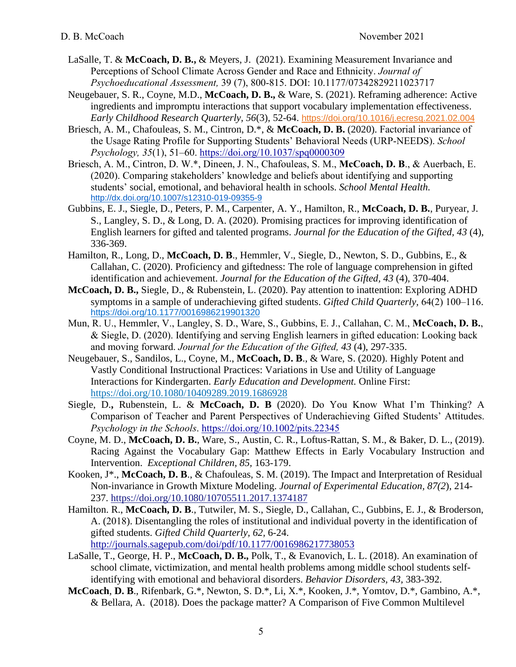- LaSalle, T. & **McCoach, D. B.,** & Meyers, J. (2021). Examining Measurement Invariance and Perceptions of School Climate Across Gender and Race and Ethnicity. *Journal of Psychoeducational Assessment,* 39 (7), 800-815. DOI: 10.1177/07342829211023717
- Neugebauer, S. R., Coyne, M.D., **McCoach, D. B.,** & Ware, S. (2021). Reframing adherence: Active ingredients and impromptu interactions that support vocabulary implementation effectiveness. *Early Childhood Research Quarterly, 56*(3), 52-64. <https://doi.org/10.1016/j.ecresq.2021.02.004>
- Briesch, A. M., Chafouleas, S. M., Cintron, D.\*, & **McCoach, D. B.** (2020). Factorial invariance of the Usage Rating Profile for Supporting Students' Behavioral Needs (URP-NEEDS). *School Psychology, 35*(1), 51–60.<https://doi.org/10.1037/spq0000309>
- Briesch, A. M., Cintron, D. W.\*, Dineen, J. N., Chafouleas, S. M., **McCoach, D. B**., & Auerbach, E. (2020). Comparing stakeholders' knowledge and beliefs about identifying and supporting students' social, emotional, and behavioral health in schools. *School Mental Health.* <http://dx.doi.org/10.1007/s12310-019-09355-9>
- Gubbins, E. J., Siegle, D., Peters, P. M., Carpenter, A. Y., Hamilton, R., **McCoach, D. B.**, Puryear, J. S., Langley, S. D., & Long, D. A. (2020). Promising practices for improving identification of English learners for gifted and talented programs. *Journal for the Education of the Gifted, 43* (4), 336-369.
- Hamilton, R., Long, D., **McCoach, D. B**., Hemmler, V., Siegle, D., Newton, S. D., Gubbins, E., & Callahan, C. (2020). Proficiency and giftedness: The role of language comprehension in gifted identification and achievement. *Journal for the Education of the Gifted, 43* (4), 370-404.
- **McCoach, D. B.,** Siegle, D., & Rubenstein, L. (2020). Pay attention to inattention: Exploring ADHD symptoms in a sample of underachieving gifted students. *Gifted Child Quarterly,* 64(2) 100–116. [https://doi.org/10.1177/0016986219901320](https://doi.org/10.1177%2F0016986219901320)
- Mun, R. U., Hemmler, V., Langley, S. D., Ware, S., Gubbins, E. J., Callahan, C. M., **McCoach, D. B.**, & Siegle, D. (2020). Identifying and serving English learners in gifted education: Looking back and moving forward. *Journal for the Education of the Gifted, 43* (4), 297-335.
- Neugebauer, S., Sandilos, L., Coyne, M., **McCoach, D. B**., & Ware, S. (2020). Highly Potent and Vastly Conditional Instructional Practices: Variations in Use and Utility of Language Interactions for Kindergarten. *Early Education and Development.* Online First: <https://doi.org/10.1080/10409289.2019.1686928>
- Siegle, D.**,** Rubenstein, L. & **McCoach, D. B** (2020). Do You Know What I'm Thinking? A Comparison of Teacher and Parent Perspectives of Underachieving Gifted Students' Attitudes. *Psychology in the Schools*. <https://doi.org/10.1002/pits.22345>
- Coyne, M. D., **McCoach, D. B.**, Ware, S., Austin, C. R., Loftus-Rattan, S. M., & Baker, D. L., (2019). Racing Against the Vocabulary Gap: Matthew Effects in Early Vocabulary Instruction and Intervention. *Exceptional Children, 85,* 163-179.
- Kooken, J\*., **McCoach, D. B**., & Chafouleas, S. M. (2019). The Impact and Interpretation of Residual Non-invariance in Growth Mixture Modeling. *Journal of Experimental Education, 87(2*), 214- 237. <https://doi.org/10.1080/10705511.2017.1374187>
- Hamilton. R., **McCoach, D. B**., Tutwiler, M. S., Siegle, D., Callahan, C., Gubbins, E. J., & Broderson, A. (2018). Disentangling the roles of institutional and individual poverty in the identification of gifted students. *Gifted Child Quarterly, 62,* 6-24. <http://journals.sagepub.com/doi/pdf/10.1177/0016986217738053>
- LaSalle, T., George, H. P., **McCoach, D. B.,** Polk, T., & Evanovich, L. L. (2018). An examination of school climate, victimization, and mental health problems among middle school students selfidentifying with emotional and behavioral disorders. *Behavior Disorders, 43,* 383-392.
- **McCoach**, **D. B**., Rifenbark, G.\*, Newton, S. D.\*, Li, X.\*, Kooken, J.\*, Yomtov, D.\*, Gambino, A.\*, & Bellara, A. (2018). Does the package matter? A Comparison of Five Common Multilevel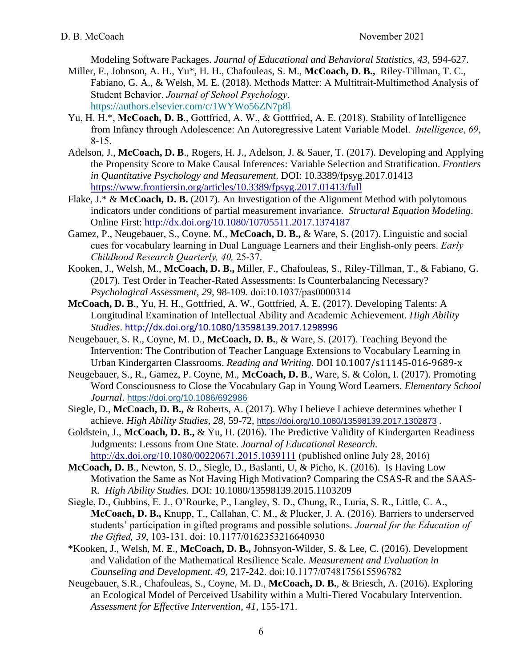Modeling Software Packages. *Journal of Educational and Behavioral Statistics, 43*, 594-627.

- Miller, F., Johnson, A. H., Yu\*, H. H., Chafouleas, S. M., **McCoach, D. B.,** Riley-Tillman, T. C., Fabiano, G. A., & Welsh, M. E. (2018). Methods Matter: A Multitrait-Multimethod Analysis of Student Behavior. *Journal of School Psychology*. <https://authors.elsevier.com/c/1WYWo56ZN7p8l>
- Yu, H. H.\*, **McCoach, D. B**., Gottfried, A. W., & Gottfried, A. E. (2018). Stability of Intelligence from Infancy through Adolescence: An Autoregressive Latent Variable Model. *Intelligence*, *69*, 8-15.
- Adelson, J., **McCoach, D. B**., Rogers, H. J., Adelson, J. & Sauer, T. (2017). Developing and Applying the Propensity Score to Make Causal Inferences: Variable Selection and Stratification. *Frontiers in Quantitative Psychology and Measurement*. DOI: 10.3389/fpsyg.2017.01413 <https://www.frontiersin.org/articles/10.3389/fpsyg.2017.01413/full>
- Flake, J.\* & **McCoach, D. B.** (2017). An Investigation of the Alignment Method with polytomous indicators under conditions of partial measurement invariance. *Structural Equation Modeling*. Online First:<http://dx.doi.org/10.1080/10705511.2017.1374187>
- Gamez, P., Neugebauer, S., Coyne. M., **McCoach, D. B.,** & Ware, S. (2017). Linguistic and social cues for vocabulary learning in Dual Language Learners and their English-only peers. *Early Childhood Research Quarterly, 40,* 25-37.
- Kooken, J., Welsh, M., **McCoach, D. B.,** Miller, F., Chafouleas, S., Riley-Tillman, T., & Fabiano, G. (2017). Test Order in Teacher-Rated Assessments: Is Counterbalancing Necessary? *Psychological Assessment*, *29*, 98-109. doi:10.1037/pas0000314
- **McCoach, D. B**., Yu, H. H., Gottfried, A. W., Gottfried, A. E. (2017). Developing Talents: A Longitudinal Examination of Intellectual Ability and Academic Achievement. *High Ability Studies*. <http://dx.doi.org/10.1080/13598139.2017.1298996>
- Neugebauer, S. R., Coyne, M. D., **McCoach, D. B.**, & Ware, S. (2017). Teaching Beyond the Intervention: The Contribution of Teacher Language Extensions to Vocabulary Learning in Urban Kindergarten Classrooms. *Reading and Writing.* DOI 10.1007/s11145-016-9689-x
- Neugebauer, S., R., Gamez, P. Coyne, M., **McCoach, D. B**., Ware, S. & Colon, I. (2017). Promoting Word Consciousness to Close the Vocabulary Gap in Young Word Learners. *Elementary School Journal*. <https://doi.org/10.1086/692986>
- Siegle, D., **McCoach, D. B.,** & Roberts, A. (2017). Why I believe I achieve determines whether I achieve. *High Ability Studies, 28,* 59-72, <https://doi.org/10.1080/13598139.2017.1302873> .
- Goldstein, J., **McCoach, D. B.,** & Yu, H. (2016). The Predictive Validity of Kindergarten Readiness Judgments: Lessons from One State. *Journal of Educational Research.* <http://dx.doi.org/10.1080/00220671.2015.1039111> (published online July 28, 2016)
- **McCoach, D. B**., Newton, S. D., Siegle, D., Baslanti, U, & Picho, K. (2016). Is Having Low Motivation the Same as Not Having High Motivation? Comparing the CSAS-R and the SAAS-R. *High Ability Studies.* DOI: 10.1080/13598139.2015.1103209
- Siegle, D., Gubbins, E. J., O'Rourke, P., Langley, S. D., Chung, R., Luria, S. R., Little, C. A., **McCoach, D. B.,** Knupp, T., Callahan, C. M., & Plucker, J. A. (2016). Barriers to underserved students' participation in gifted programs and possible solutions. *Journal for the Education of the Gifted, 39*, 103-131. doi: 10.1177/0162353216640930
- \*Kooken, J., Welsh, M. E., **McCoach, D. B.,** Johnsyon-Wilder, S. & Lee, C. (2016). Development and Validation of the Mathematical Resilience Scale. *Measurement and Evaluation in Counseling and Development. 49,* 217-242. doi:10.1177/0748175615596782
- Neugebauer, S.R., Chafouleas, S., Coyne, M. D., **McCoach, D. B.**, & Briesch, A. (2016). Exploring an Ecological Model of Perceived Usability within a Multi-Tiered Vocabulary Intervention. *Assessment for Effective Intervention, 41*, 155-171.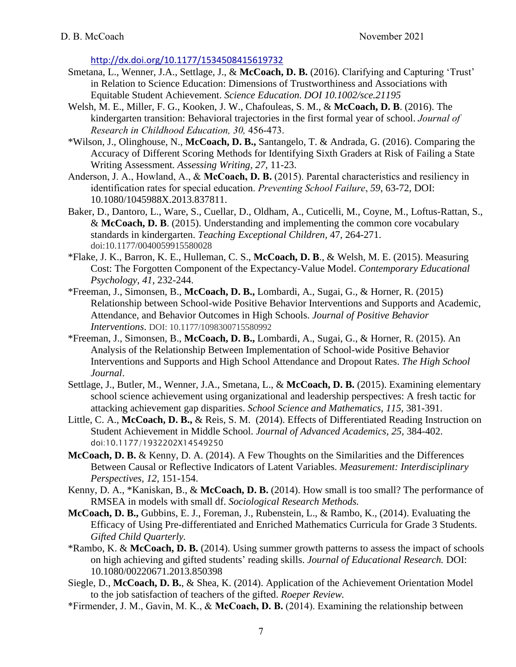<http://dx.doi.org/10.1177/1534508415619732>

- Smetana, L., Wenner, J.A., Settlage, J., & **McCoach, D. B.** (2016). Clarifying and Capturing 'Trust' in Relation to Science Education: Dimensions of Trustworthiness and Associations with Equitable Student Achievement. *Science Education. DOI 10.1002/sce.21195*
- Welsh, M. E., Miller, F. G., Kooken, J. W., Chafouleas, S. M., & **McCoach, D. B**. (2016). The kindergarten transition: Behavioral trajectories in the first formal year of school. *Journal of Research in Childhood Education, 30,* 456-473.
- \*Wilson, J., Olinghouse, N., **McCoach, D. B.,** Santangelo, T. & Andrada, G. (2016). Comparing the Accuracy of Different Scoring Methods for Identifying Sixth Graders at Risk of Failing a State Writing Assessment*. Assessing Writing, 27*, 11-23.
- Anderson, J. A., Howland, A., & **McCoach, D. B.** (2015). Parental characteristics and resiliency in identification rates for special education. *Preventing School Failure*, *59*, 63-72, DOI: 10.1080/1045988X.2013.837811.
- Baker, D., Dantoro, L., Ware, S., Cuellar, D., Oldham, A., Cuticelli, M., Coyne, M., Loftus-Rattan, S., & **McCoach, D. B**. (2015). Understanding and implementing the common core vocabulary standards in kindergarten. *Teaching Exceptional Children,* 47, 264-271. doi:10.1177/0040059915580028
- \*Flake, J. K., Barron, K. E., Hulleman, C. S., **McCoach, D. B**., & Welsh, M. E. (2015). Measuring Cost: The Forgotten Component of the Expectancy-Value Model. *Contemporary Educational Psychology, 41,* 232-244.
- \*Freeman, J., Simonsen, B., **McCoach, D. B.,** Lombardi, A., Sugai, G., & Horner, R. (2015) Relationship between School-wide Positive Behavior Interventions and Supports and Academic, Attendance, and Behavior Outcomes in High Schools. *Journal of Positive Behavior Interventions*. DOI: 10.1177/1098300715580992
- \*Freeman, J., Simonsen, B., **McCoach, D. B.,** Lombardi, A., Sugai, G., & Horner, R. (2015). An Analysis of the Relationship Between Implementation of School-wide Positive Behavior Interventions and Supports and High School Attendance and Dropout Rates. *The High School Journal*.
- Settlage, J., Butler, M., Wenner, J.A., Smetana, L., & **McCoach, D. B.** (2015). Examining elementary school science achievement using organizational and leadership perspectives: A fresh tactic for attacking achievement gap disparities. *School Science and Mathematics, 115,* 381-391.
- Little, C. A., **McCoach, D. B.,** & Reis, S. M. (2014). Effects of Differentiated Reading Instruction on Student Achievement in Middle School. *Journal of Advanced Academics, 25,* 384-402. doi:10.1177/1932202X14549250
- **McCoach, D. B.** & Kenny, D. A. (2014). A Few Thoughts on the Similarities and the Differences Between Causal or Reflective Indicators of Latent Variables. *Measurement: Interdisciplinary Perspectives, 12,* 151-154.
- Kenny, D. A., \*Kaniskan, B., & **McCoach, D. B.** (2014). How small is too small? The performance of RMSEA in models with small df. *Sociological Research Methods.*
- **McCoach, D. B.,** Gubbins, E. J., Foreman, J., Rubenstein, L., & Rambo, K., (2014). Evaluating the Efficacy of Using Pre-differentiated and Enriched Mathematics Curricula for Grade 3 Students. *Gifted Child Quarterly.*
- \*Rambo, K. & **McCoach, D. B.** (2014). Using summer growth patterns to assess the impact of schools on high achieving and gifted students' reading skills. *Journal of Educational Research.* DOI: 10.1080/00220671.2013.850398
- Siegle, D., **McCoach, D. B.**, & Shea, K. (2014). Application of the Achievement Orientation Model to the job satisfaction of teachers of the gifted. *Roeper Review.*
- \*Firmender, J. M., Gavin, M. K., & **McCoach, D. B.** (2014). Examining the relationship between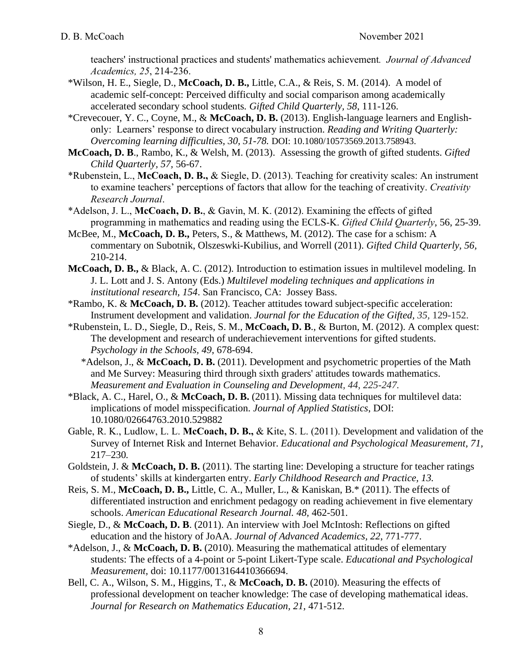teachers' instructional practices and students' mathematics achievement*. Journal of Advanced Academics, 25*, 214-236.

- \*Wilson, H. E., Siegle, D., **McCoach, D. B.,** Little, C.A., & Reis, S. M. (2014). A model of academic self-concept: Perceived difficulty and social comparison among academically accelerated secondary school students*. Gifted Child Quarterly, 58*, 111-126.
- \*Crevecouer, Y. C., Coyne, M., & **McCoach, D. B.** (2013). English-language learners and Englishonly: Learners' response to direct vocabulary instruction. *Reading and Writing Quarterly: Overcoming learning difficulties, 30, 51-78.* DOI: 10.1080/10573569.2013.758943.
- **McCoach, D. B**., Rambo, K., & Welsh, M. (2013). Assessing the growth of gifted students. *Gifted Child Quarterly, 57,* 56-67.
- \*Rubenstein, L., **McCoach, D. B.,** & Siegle, D. (2013). Teaching for creativity scales: An instrument to examine teachers' perceptions of factors that allow for the teaching of creativity. *Creativity Research Journal*.
- \*Adelson, J. L., **McCoach, D. B.**, & Gavin, M. K. (2012). Examining the effects of gifted programming in mathematics and reading using the ECLS-K. *Gifted Child Quarterly*, 56, 25-39.
- McBee, M., **McCoach, D. B.,** Peters, S., & Matthews, M. (2012). The case for a schism: A commentary on Subotnik, Olszeswki-Kubilius, and Worrell (2011). *Gifted Child Quarterly, 56,* 210-214.
- **McCoach, D. B.,** & Black, A. C. (2012). Introduction to estimation issues in multilevel modeling. In J. L. Lott and J. S. Antony (Eds.) *Multilevel modeling techniques and applications in institutional research, 154*. San Francisco, CA: Jossey Bass.
- \*Rambo, K. & **McCoach, D. B.** (2012). Teacher attitudes toward subject-specific acceleration: Instrument development and validation. *Journal for the Education of the Gifted, 35,* 129-152.
- \*Rubenstein, L. D., Siegle, D., Reis, S. M., **McCoach, D. B**., & Burton, M. (2012). A complex quest: The development and research of underachievement interventions for gifted students. *Psychology in the Schools, 49*, 678-694.
	- \*Adelson, J., & **McCoach, D. B.** (2011). Development and psychometric properties of the Math and Me Survey: Measuring third through sixth graders' attitudes towards mathematics. *Measurement and Evaluation in Counseling and Development, 44, 225-247.*
- \*Black, A. C., Harel, O., & **McCoach, D. B.** (2011). Missing data techniques for multilevel data: implications of model misspecification. *Journal of Applied Statistics*, DOI: 10.1080/02664763.2010.529882
- Gable, R. K., Ludlow, L. L. **McCoach, D. B.,** & Kite, S. L. (2011). Development and validation of the Survey of Internet Risk and Internet Behavior. *Educational and Psychological Measurement, 71,* 217–230*.*
- Goldstein, J. & **McCoach, D. B.** (2011). The starting line: Developing a structure for teacher ratings of students' skills at kindergarten entry. *Early Childhood Research and Practice, 13.*
- Reis, S. M., **McCoach, D. B.,** Little, C. A., Muller, L., & Kaniskan, B.\* (2011). The effects of differentiated instruction and enrichment pedagogy on reading achievement in five elementary schools. *American Educational Research Journal. 48,* 462-501.
- Siegle, D., & **McCoach, D. B**. (2011). An interview with Joel McIntosh: Reflections on gifted education and the history of JoAA. *Journal of Advanced Academics, 22*, 771-777.
- \*Adelson, J., & **McCoach, D. B.** (2010). Measuring the mathematical attitudes of elementary students: The effects of a 4-point or 5-point Likert-Type scale. *Educational and Psychological Measurement,* doi: 10.1177/0013164410366694.
- Bell, C. A., Wilson, S. M., Higgins, T., & **McCoach, D. B.** (2010). Measuring the effects of professional development on teacher knowledge: The case of developing mathematical ideas. *Journal for Research on Mathematics Education, 21,* 471-512.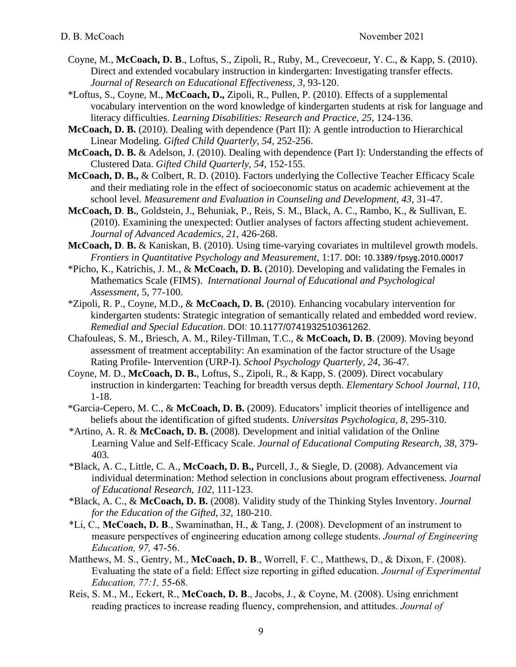- Coyne, M., **McCoach, D. B**., Loftus, S., Zipoli, R., Ruby, M., Crevecoeur, Y. C., & Kapp, S. (2010). Direct and extended vocabulary instruction in kindergarten: Investigating transfer effects. *Journal of Research on Educational Effectiveness, 3,* 93-120.
- \*Loftus, S., Coyne, M., **McCoach, D.,** Zipoli, R., Pullen, P. (2010). Effects of a supplemental vocabulary intervention on the word knowledge of kindergarten students at risk for language and literacy difficulties. *Learning Disabilities: Research and Practice, 25,* 124-136.
- **McCoach, D. B.** (2010). Dealing with dependence (Part II): A gentle introduction to Hierarchical Linear Modeling. *Gifted Child Quarterly, 54,* 252-256.
- **McCoach, D. B.** & Adelson, J. (2010). Dealing with dependence (Part I): Understanding the effects of Clustered Data. *Gifted Child Quarterly, 54,* 152-155.
- **McCoach, D. B.,** & Colbert, R. D. (2010). Factors underlying the Collective Teacher Efficacy Scale and their mediating role in the effect of socioeconomic status on academic achievement at the school level. *Measurement and Evaluation in Counseling and Development, 43,* 31-47.
- **McCoach, D**. **B.**, Goldstein, J., Behuniak, P., Reis, S. M., Black, A. C., Rambo, K., & Sullivan, E. (2010). Examining the unexpected: Outlier analyses of factors affecting student achievement. *Journal of Advanced Academics, 21,* 426-268.
- **McCoach, D**. **B.** & Kaniskan, B. (2010). Using time-varying covariates in multilevel growth models. *Frontiers in Quantitative Psychology and Measurement*, 1:17. DOI: 10.3389/fpsyg.2010.00017
- \*Picho, K., Katrichis, J. M., & **McCoach, D. B.** (2010). Developing and validating the Females in Mathematics Scale (FIMS). *International Journal of Educational and Psychological Assessment*, 5, 77-100.
- \*Zipoli, R. P., Coyne, M.D., & **McCoach, D. B.** (2010). Enhancing vocabulary intervention for kindergarten students: Strategic integration of semantically related and embedded word review. *Remedial and Special Education*. DOI: 10.1177/0741932510361262.
- Chafouleas, S. M., Briesch, A. M., Riley-Tillman, T.C., & **McCoach, D. B**. (2009). Moving beyond assessment of treatment acceptability: An examination of the factor structure of the Usage Rating Profile- Intervention (URP-I). *School Psychology Quarterly, 24*, 36-47.
- Coyne, M. D., **McCoach, D. B.**, Loftus, S., Zipoli, R., & Kapp, S. (2009). Direct vocabulary instruction in kindergarten: Teaching for breadth versus depth. *Elementary School Journal*, *110*, 1-18.
- \*Garcia-Cepero, M. C., & **McCoach, D. B.** (2009). Educators' implicit theories of intelligence and beliefs about the identification of gifted students. *Universitas Psychologica, 8*, 295-310.
- \*Artino, A. R. & **McCoach, D. B.** (2008). Development and initial validation of the Online Learning Value and Self-Efficacy Scale. *Journal of Educational Computing Research, 38,* 379- 403*.*
- \*Black, A. C., Little, C. A., **McCoach, D. B.,** Purcell, J., & Siegle, D. (2008). Advancement via individual determination: Method selection in conclusions about program effectiveness. *Journal of Educational Research, 102,* 111-123.
- \*Black, A. C., & **McCoach, D. B.** (2008). Validity study of the Thinking Styles Inventory. *Journal for the Education of the Gifted, 32*, 180-210.
- \*Li, C., **McCoach, D. B**., Swaminathan, H., & Tang, J. (2008). Development of an instrument to measure perspectives of engineering education among college students. *Journal of Engineering Education, 97,* 47-56.
- Matthews, M. S., Gentry, M., **McCoach, D. B**., Worrell, F. C., Matthews, D., & Dixon, F. (2008). Evaluating the state of a field: Effect size reporting in gifted education. *Journal of Experimental Education, 77:1,* 55-68.
- Reis, S. M., M., Eckert, R., **McCoach, D. B**., Jacobs, J., & Coyne, M. (2008). Using enrichment reading practices to increase reading fluency, comprehension, and attitudes. *Journal of*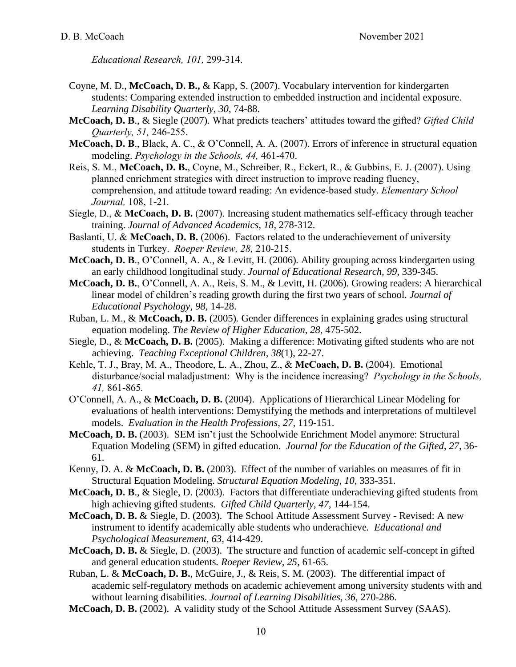*Educational Research, 101,* 299-314.

- Coyne, M. D., **McCoach, D. B.,** & Kapp, S. (2007). Vocabulary intervention for kindergarten students: Comparing extended instruction to embedded instruction and incidental exposure. *Learning Disability Quarterly, 30*, 74-88.
- **McCoach, D. B**., & Siegle (2007)*.* What predicts teachers' attitudes toward the gifted? *Gifted Child Quarterly, 51,* 246-255.
- **McCoach, D. B**., Black, A. C., & O'Connell, A. A. (2007). Errors of inference in structural equation modeling. *Psychology in the Schools, 44,* 461-470.
- Reis, S. M., **McCoach, D. B.**, Coyne, M., Schreiber, R., Eckert, R., & Gubbins, E. J. (2007). Using planned enrichment strategies with direct instruction to improve reading fluency, comprehension, and attitude toward reading: An evidence-based study. *Elementary School Journal,* 108, 1-21*.*
- Siegle, D., & **McCoach, D. B.** (2007). Increasing student mathematics self-efficacy through teacher training. *Journal of Advanced Academics, 18,* 278-312.
- Baslanti, U. & **McCoach, D. B.** (2006). Factors related to the underachievement of university students in Turkey. *Roeper Review, 28,* 210-215.
- **McCoach, D. B**., O'Connell, A. A., & Levitt, H. (2006)*.* Ability grouping across kindergarten using an early childhood longitudinal study. *Journal of Educational Research, 99,* 339-345.
- **McCoach, D. B.**, O'Connell, A. A., Reis, S. M., & Levitt, H. (2006)*.* Growing readers: A hierarchical linear model of children's reading growth during the first two years of school*. Journal of Educational Psychology, 98,* 14-28.
- Ruban, L. M., & **McCoach, D. B.** (2005)*.* Gender differences in explaining grades using structural equation modeling. *The Review of Higher Education, 28,* 475-502.
- Siegle, D., & **McCoach, D. B.** (2005). Making a difference: Motivating gifted students who are not achieving. *Teaching Exceptional Children, 38*(1), 22-27.
- Kehle, T. J., Bray, M. A., Theodore, L. A., Zhou, Z., & **McCoach, D. B.** (2004). Emotional disturbance/social maladjustment: Why is the incidence increasing? *Psychology in the Schools, 41,* 861-865*.*
- O'Connell, A. A., & **McCoach, D. B.** (2004). Applications of Hierarchical Linear Modeling for evaluations of health interventions: Demystifying the methods and interpretations of multilevel models. *Evaluation in the Health Professions, 27,* 119-151.
- **McCoach, D. B.** (2003). SEM isn't just the Schoolwide Enrichment Model anymore: Structural Equation Modeling (SEM) in gifted education. *Journal for the Education of the Gifted, 27,* 36- 61.
- Kenny, D. A. & **McCoach, D. B.** (2003). Effect of the number of variables on measures of fit in Structural Equation Modeling. *Structural Equation Modeling, 10,* 333-351.
- **McCoach, D. B**., & Siegle, D. (2003). Factors that differentiate underachieving gifted students from high achieving gifted students. *Gifted Child Quarterly, 47*, 144-154.
- **McCoach, D. B.** & Siegle, D. (2003). The School Attitude Assessment Survey Revised: A new instrument to identify academically able students who underachieve*. Educational and Psychological Measurement, 63,* 414-429.
- **McCoach, D. B.** & Siegle, D. (2003). The structure and function of academic self-concept in gifted and general education students*. Roeper Review, 25*, 61-65.
- Ruban, L. & **McCoach, D. B.**, McGuire, J., & Reis, S. M. (2003). The differential impact of academic self-regulatory methods on academic achievement among university students with and without learning disabilities. *Journal of Learning Disabilities, 36,* 270-286.
- **McCoach, D. B.** (2002). A validity study of the School Attitude Assessment Survey (SAAS).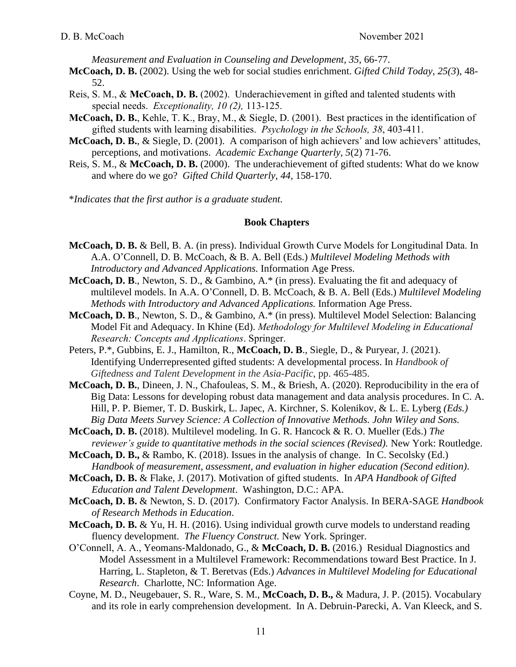*Measurement and Evaluation in Counseling and Development, 35*, 66-77.

- **McCoach, D. B.** (2002). Using the web for social studies enrichment. *Gifted Child Today, 25(3*), 48- 52.
- Reis, S. M., & **McCoach, D. B.** (2002). Underachievement in gifted and talented students with special needs. *Exceptionality, 10 (2),* 113-125.
- **McCoach, D. B.**, Kehle, T. K., Bray, M., & Siegle, D. (2001). Best practices in the identification of gifted students with learning disabilities. *Psychology in the Schools, 38*, 403-411.
- **McCoach, D. B.**, & Siegle, D. (2001). A comparison of high achievers' and low achievers' attitudes, perceptions, and motivations. *Academic Exchange Quarterly, 5*(2) 71-76.
- Reis, S. M., & **McCoach, D. B.** (2000). The underachievement of gifted students: What do we know and where do we go? *Gifted Child Quarterly, 44,* 158-170.

\**Indicates that the first author is a graduate student.*

#### **Book Chapters**

- **McCoach, D. B.** & Bell, B. A. (in press). Individual Growth Curve Models for Longitudinal Data. In A.A. O'Connell, D. B. McCoach, & B. A. Bell (Eds.) *Multilevel Modeling Methods with Introductory and Advanced Applications.* Information Age Press.
- **McCoach, D. B**., Newton, S. D., & Gambino, A.\* (in press). Evaluating the fit and adequacy of multilevel models. In A.A. O'Connell, D. B. McCoach, & B. A. Bell (Eds.) *Multilevel Modeling Methods with Introductory and Advanced Applications.* Information Age Press.
- **McCoach, D. B**., Newton, S. D., & Gambino, A.\* (in press). Multilevel Model Selection: Balancing Model Fit and Adequacy. In Khine (Ed). *Methodology for Multilevel Modeling in Educational Research: Concepts and Applications*. Springer.
- Peters, P.\*, Gubbins, E. J., Hamilton, R., **McCoach, D. B**., Siegle, D., & Puryear, J. (2021). Identifying Underrepresented gifted students: A developmental process. In *Handbook of Giftedness and Talent Development in the Asia-Pacific*, pp. 465-485.
- **McCoach, D. B.**, Dineen, J. N., Chafouleas, S. M., & Briesh, A. (2020). Reproducibility in the era of Big Data: Lessons for developing robust data management and data analysis procedures. In C. A. Hill, P. P. Biemer, T. D. Buskirk, L. Japec, A. Kirchner, S. Kolenikov, & L. E. Lyberg *(Eds.) Big Data Meets Survey Science: A Collection of Innovative Methods. John Wiley and Sons.*
- **McCoach, D. B.** (2018). Multilevel modeling. In G. R. Hancock & R. O. Mueller (Eds.) *The reviewer's guide to quantitative methods in the social sciences (Revised).* New York: Routledge.
- **McCoach, D. B.,** & Rambo, K. (2018). Issues in the analysis of change. In C. Secolsky (Ed.) *Handbook of measurement, assessment, and evaluation in higher education (Second edition)*.
- **McCoach, D. B.** & Flake, J. (2017). Motivation of gifted students. In *APA Handbook of Gifted Education and Talent Development*.Washington, D.C.: APA.
- **McCoach, D. B.** & Newton, S. D. (2017). Confirmatory Factor Analysis. In BERA-SAGE *Handbook of Research Methods in Education*.
- **McCoach, D. B.** & Yu, H. H. (2016). Using individual growth curve models to understand reading fluency development. *The Fluency Construct*. New York. Springer.
- O'Connell, A. A., Yeomans‐Maldonado, G., & **McCoach, D. B.** (2016.) Residual Diagnostics and Model Assessment in a Multilevel Framework: Recommendations toward Best Practice. In J. Harring, L. Stapleton, & T. Beretvas (Eds.) *Advances in Multilevel Modeling for Educational Research*. Charlotte, NC: Information Age.
- Coyne, M. D., Neugebauer, S. R., Ware, S. M., **McCoach, D. B.,** & Madura, J. P. (2015). Vocabulary and its role in early comprehension development. In A. Debruin-Parecki, A. Van Kleeck, and S.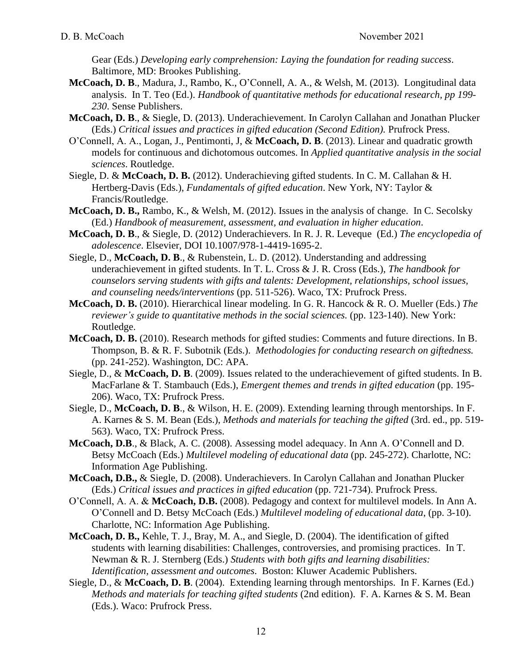Gear (Eds.) *Developing early comprehension: Laying the foundation for reading success*. Baltimore, MD: Brookes Publishing.

- **McCoach, D. B**., Madura, J., Rambo, K., O'Connell, A. A., & Welsh, M. (2013). Longitudinal data analysis. In T. Teo (Ed.). *Handbook of quantitative methods for educational research, pp 199- 230*. Sense Publishers.
- **McCoach, D. B**., & Siegle, D. (2013). Underachievement. In Carolyn Callahan and Jonathan Plucker (Eds.) *Critical issues and practices in gifted education (Second Edition).* Prufrock Press.
- O'Connell, A. A., Logan, J., Pentimonti, J, & **McCoach, D. B**. (2013). Linear and quadratic growth models for continuous and dichotomous outcomes. In *Applied quantitative analysis in the social sciences*. Routledge.
- Siegle, D. & **McCoach, D. B.** (2012). Underachieving gifted students. In C. M. Callahan & H. Hertberg-Davis (Eds.), *Fundamentals of gifted education*. New York, NY: Taylor & Francis/Routledge.
- **McCoach, D. B.,** Rambo, K., & Welsh, M. (2012). Issues in the analysis of change. In C. Secolsky (Ed.) *Handbook of measurement, assessment, and evaluation in higher education*.
- **McCoach, D. B**., & Siegle, D. (2012) Underachievers. In R. J. R. Leveque (Ed.) *The encyclopedia of adolescence*. Elsevier, DOI 10.1007/978-1-4419-1695-2.
- Siegle, D., **McCoach, D. B**., & Rubenstein, L. D. (2012). Understanding and addressing underachievement in gifted students. In T. L. Cross & J. R. Cross (Eds.), *The handbook for counselors serving students with gifts and talents: Development, relationships, school issues, and counseling needs/interventions* (pp. 511-526). Waco, TX: Prufrock Press.
- **McCoach, D. B.** (2010). Hierarchical linear modeling. In G. R. Hancock & R. O. Mueller (Eds.) *The reviewer's guide to quantitative methods in the social sciences.* (pp. 123-140). New York: Routledge.
- **McCoach, D. B.** (2010). Research methods for gifted studies: Comments and future directions. In B. Thompson, B. & R. F. Subotnik (Eds.). *Methodologies for conducting research on giftedness.* (pp. 241-252). Washington, DC: APA.
- Siegle, D., & **McCoach, D. B**. (2009). Issues related to the underachievement of gifted students. In B. MacFarlane & T. Stambauch (Eds.), *Emergent themes and trends in gifted education* (pp. 195- 206). Waco, TX: Prufrock Press.
- Siegle, D., **McCoach, D. B**., & Wilson, H. E. (2009). Extending learning through mentorships. In F. A. Karnes & S. M. Bean (Eds.), *Methods and materials for teaching the gifted* (3rd. ed., pp. 519- 563). Waco, TX: Prufrock Press.
- **McCoach, D.B**., & Black, A. C. (2008). Assessing model adequacy. In Ann A. O'Connell and D. Betsy McCoach (Eds.) *Multilevel modeling of educational data* (pp. 245-272). Charlotte, NC: Information Age Publishing.
- **McCoach, D.B.,** & Siegle, D. (2008). Underachievers. In Carolyn Callahan and Jonathan Plucker (Eds.) *Critical issues and practices in gifted education* (pp. 721-734). Prufrock Press.
- O'Connell, A. A. & **McCoach, D.B.** (2008). Pedagogy and context for multilevel models. In Ann A. O'Connell and D. Betsy McCoach (Eds.) *Multilevel modeling of educational data*, (pp. 3-10). Charlotte, NC: Information Age Publishing.
- **McCoach, D. B.,** Kehle, T. J., Bray, M. A., and Siegle, D. (2004). The identification of gifted students with learning disabilities: Challenges, controversies, and promising practices. In T. Newman & R. J. Sternberg (Eds.) *Students with both gifts and learning disabilities: Identification, assessment and outcomes*. Boston: Kluwer Academic Publishers.
- Siegle, D., & **McCoach, D. B**. (2004). Extending learning through mentorships. In F. Karnes (Ed.) *Methods and materials for teaching gifted students* (2nd edition). F. A. Karnes & S. M. Bean (Eds.). Waco: Prufrock Press.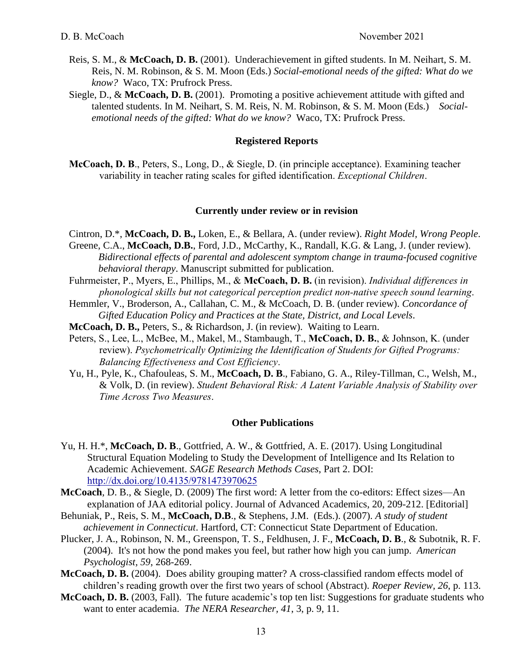- Reis, S. M., & **McCoach, D. B.** (2001). Underachievement in gifted students. In M. Neihart, S. M. Reis, N. M. Robinson, & S. M. Moon (Eds.) *Social-emotional needs of the gifted: What do we know?* Waco, TX: Prufrock Press.
- Siegle, D., & **McCoach, D. B.** (2001). Promoting a positive achievement attitude with gifted and talented students. In M. Neihart, S. M. Reis, N. M. Robinson, & S. M. Moon (Eds.) *Socialemotional needs of the gifted: What do we know?* Waco, TX: Prufrock Press.

#### **Registered Reports**

**McCoach, D. B**., Peters, S., Long, D., & Siegle, D. (in principle acceptance). Examining teacher variability in teacher rating scales for gifted identification. *Exceptional Children*.

#### **Currently under review or in revision**

- Cintron, D.\*, **McCoach, D. B.,** Loken, E., & Bellara, A. (under review). *Right Model, Wrong People*.
- Greene, C.A., **McCoach, D.B.**, Ford, J.D., McCarthy, K., Randall, K.G. & Lang, J. (under review). *Bidirectional effects of parental and adolescent symptom change in trauma-focused cognitive behavioral therapy*. Manuscript submitted for publication.
- Fuhrmeister, P., Myers, E., Phillips, M., & **McCoach, D. B.** (in revision). *Individual differences in phonological skills but not categorical perception predict non-native speech sound learning*.
- Hemmler, V., Broderson, A., Callahan, C. M., & McCoach, D. B. (under review). *Concordance of Gifted Education Policy and Practices at the State, District, and Local Levels*.
- **McCoach, D. B.,** Peters, S., & Richardson, J. (in review). Waiting to Learn.
- Peters, S., Lee, L., McBee, M., Makel, M., Stambaugh, T., **McCoach, D. B.**, & Johnson, K. (under review). *Psychometrically Optimizing the Identification of Students for Gifted Programs: Balancing Effectiveness and Cost Efficiency*.
- Yu, H., Pyle, K., Chafouleas, S. M., **McCoach, D. B**., Fabiano, G. A., Riley-Tillman, C., Welsh, M., & Volk, D. (in review). *Student Behavioral Risk: A Latent Variable Analysis of Stability over Time Across Two Measures*.

#### **Other Publications**

- Yu, H. H.\*, **McCoach, D. B**., Gottfried, A. W., & Gottfried, A. E. (2017). Using Longitudinal Structural Equation Modeling to Study the Development of Intelligence and Its Relation to Academic Achievement. *SAGE Research Methods Cases*, Part 2. DOI: <http://dx.doi.org/10.4135/9781473970625>
- **McCoach**, D. B., & Siegle, D. (2009) The first word: A letter [from the co-editors: Effect sizes—An](http://web.ebscohost.com/ehost/viewarticle?data=dGJyMPPp44rp2%2fdV0%2bnjisfk5Ie46bZRtqy0Tbek63nn5Kx95uXxjL6rrU2tqK5JrpavSbinsVKzrJ5Zy5zyit%2fk8Xnh6ueH7N%2fiVauntVCxqbJNt6azPurX7H%2b72%2bw%2b4ti7iPHv5j7y1%2bVVv8SkeeyzsEiur6tJr6e1Uaumrkmk3O2K69fyVeTr6oTy2%2faM&hid=11)  [explanation of JAA editorial policy.](http://web.ebscohost.com/ehost/viewarticle?data=dGJyMPPp44rp2%2fdV0%2bnjisfk5Ie46bZRtqy0Tbek63nn5Kx95uXxjL6rrU2tqK5JrpavSbinsVKzrJ5Zy5zyit%2fk8Xnh6ueH7N%2fiVauntVCxqbJNt6azPurX7H%2b72%2bw%2b4ti7iPHv5j7y1%2bVVv8SkeeyzsEiur6tJr6e1Uaumrkmk3O2K69fyVeTr6oTy2%2faM&hid=11) Journal of Advanced Academics, 20, 209-212. [Editorial]
- Behuniak, P., Reis, S. M., **McCoach, D.B**., & Stephens, J.M. (Eds.). (2007). *A study of student achievement in Connecticut*. Hartford, CT: Connecticut State Department of Education.
- Plucker, J. A., Robinson, N. M., Greenspon, T. S., Feldhusen, J. F., **McCoach, D. B**., & Subotnik, R. F. (2004). It's not how the pond makes you feel, but rather how high you can jump. *American Psychologist, 59*, 268-269.
- **McCoach, D. B.** (2004). Does ability grouping matter? A cross-classified random effects model of children's reading growth over the first two years of school (Abstract). *Roeper Review, 26*, p. 113.
- **McCoach, D. B.** (2003, Fall). The future academic's top ten list: Suggestions for graduate students who want to enter academia. *The NERA Researcher, 41*, 3, p. 9, 11.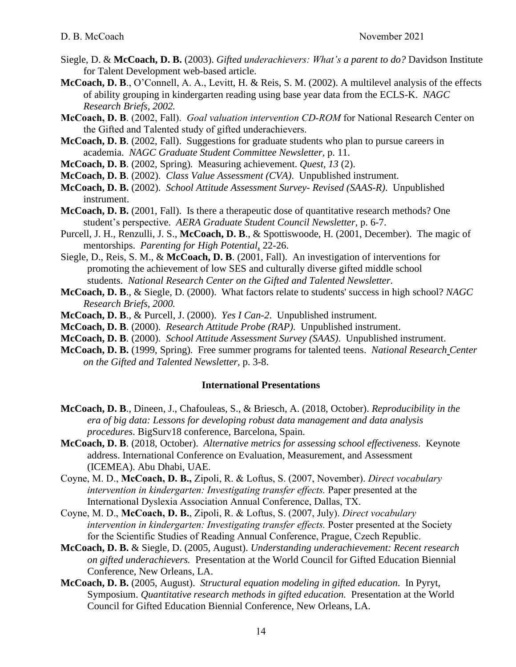- Siegle, D. & **McCoach, D. B.** (2003). *Gifted underachievers: What's a parent to do?* Davidson Institute for Talent Development web-based article.
- **McCoach, D. B**., O'Connell, A. A., Levitt, H. & Reis, S. M. (2002). A multilevel analysis of the effects of ability grouping in kindergarten reading using base year data from the ECLS-K. *NAGC Research Briefs, 2002.*
- **McCoach, D. B**. (2002, Fall). *Goal valuation intervention CD-ROM* for National Research Center on the Gifted and Talented study of gifted underachievers.
- **McCoach, D. B**. (2002, Fall). Suggestions for graduate students who plan to pursue careers in academia. *NAGC Graduate Student Committee Newsletter,* p. 11.
- **McCoach, D. B**. (2002, Spring). Measuring achievement. *Quest, 13* (2).
- **McCoach, D. B**. (2002). *Class Value Assessment (CVA)*. Unpublished instrument.
- **McCoach, D. B.** (2002). *School Attitude Assessment Survey- Revised (SAAS-R)*. Unpublished instrument.
- **McCoach, D. B.** (2001, Fall). Is there a therapeutic dose of quantitative research methods? One student's perspective. *AERA Graduate Student Council Newsletter,* p. 6-7.
- Purcell, J. H., Renzulli, J. S., **McCoach, D. B**., & Spottiswoode, H. (2001, December). The magic of mentorships. *Parenting for High Potential*, 22-26.
- Siegle, D., Reis, S. M., & **McCoach, D. B**. (2001, Fall). An investigation of interventions for promoting the achievement of low SES and culturally diverse gifted middle school students. *National Research Center on the Gifted and Talented Newsletter*.
- **McCoach, D. B**., & Siegle, D. (2000). What factors relate to students' success in high school? *NAGC Research Briefs, 2000.*
- **McCoach, D. B**., & Purcell, J. (2000). *Yes I Can-2*. Unpublished instrument.
- **McCoach, D. B**. (2000). *Research Attitude Probe (RAP)*. Unpublished instrument.
- **McCoach, D. B**. (2000). *School Attitude Assessment Survey (SAAS)*. Unpublished instrument.
- **McCoach, D. B.** (1999, Spring). Free summer programs for talented teens. *National Research Center on the Gifted and Talented Newsletter,* p. 3-8.

#### **International Presentations**

- **McCoach, D. B**., Dineen, J., Chafouleas, S., & Briesch, A. (2018, October). *Reproducibility in the era of big data: Lessons for developing robust data management and data analysis procedures*. BigSurv18 conference, Barcelona, Spain.
- **McCoach, D. B**. (2018, October). *Alternative metrics for assessing school effectiveness*. Keynote address. International Conference on Evaluation, Measurement, and Assessment (ICEMEA). Abu Dhabi, UAE.
- Coyne, M. D., **McCoach, D. B.,** Zipoli, R. & Loftus, S. (2007, November). *Direct vocabulary intervention in kindergarten: Investigating transfer effects.* Paper presented at the International Dyslexia Association Annual Conference, Dallas, TX.
- Coyne, M. D., **McCoach, D. B.**, Zipoli, R. & Loftus, S. (2007, July). *Direct vocabulary intervention in kindergarten: Investigating transfer effects.* Poster presented at the Society for the Scientific Studies of Reading Annual Conference, Prague, Czech Republic.
- **McCoach, D. B.** & Siegle, D. (2005, August). *Understanding underachievement: Recent research on gifted underachievers.* Presentation at the World Council for Gifted Education Biennial Conference, New Orleans, LA.
- **McCoach, D. B.** (2005, August). *Structural equation modeling in gifted education*. In Pyryt, Symposium. *Quantitative research methods in gifted education.* Presentation at the World Council for Gifted Education Biennial Conference, New Orleans, LA.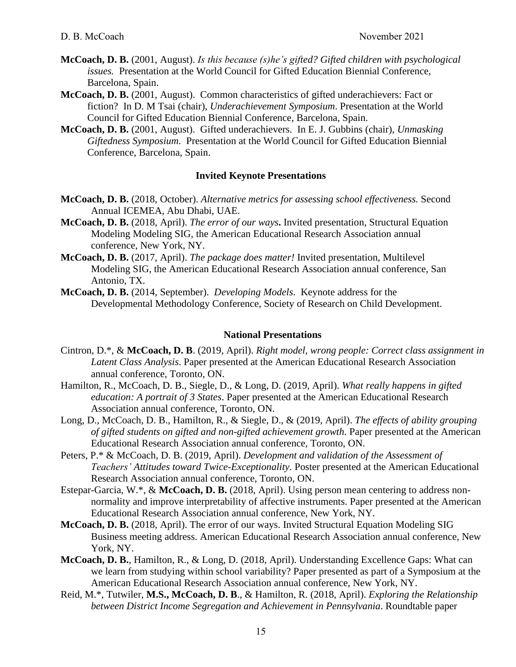- **McCoach, D. B.** (2001, August). *Is this because (s)he's gifted? Gifted children with psychological issues.* Presentation at the World Council for Gifted Education Biennial Conference, Barcelona, Spain.
- **McCoach, D. B.** (2001, August). Common characteristics of gifted underachievers: Fact or fiction? In D. M Tsai (chair), *Underachievement Symposium*. Presentation at the World Council for Gifted Education Biennial Conference, Barcelona, Spain.
- **McCoach, D. B.** (2001, August). Gifted underachievers. In E. J. Gubbins (chair), *Unmasking Giftedness Symposium*. Presentation at the World Council for Gifted Education Biennial Conference, Barcelona, Spain.

## **Invited Keynote Presentations**

- **McCoach, D. B.** (2018, October). *Alternative metrics for assessing school effectiveness.* Second Annual ICEMEA, Abu Dhabi, UAE.
- **McCoach, D. B.** (2018, April). *The error of our ways***.** Invited presentation, Structural Equation Modeling Modeling SIG, the American Educational Research Association annual conference, New York, NY.
- **McCoach, D. B.** (2017, April). *The package does matter!* Invited presentation, Multilevel Modeling SIG, the American Educational Research Association annual conference, San Antonio, TX.
- **McCoach, D. B.** (2014, September). *Developing Models*. Keynote address for the Developmental Methodology Conference, Society of Research on Child Development.

### **National Presentations**

- Cintron, D.\*, & **McCoach, D. B**. (2019, April). *Right model, wrong people: Correct class assignment in Latent Class Analysis*. Paper presented at the American Educational Research Association annual conference, Toronto, ON.
- Hamilton, R., McCoach, D. B., Siegle, D., & Long, D. (2019, April). *What really happens in gifted education: A portrait of 3 States*. Paper presented at the American Educational Research Association annual conference, Toronto, ON.
- Long, D., McCoach, D. B., Hamilton, R., & Siegle, D., & (2019, April). *The effects of ability grouping of gifted students on gifted and non-gifted achievement growth*. Paper presented at the American Educational Research Association annual conference, Toronto, ON.
- Peters, P.\* & McCoach, D. B. (2019, April). *Development and validation of the Assessment of Teachers' Attitudes toward Twice-Exceptionality.* Poster presented at the American Educational Research Association annual conference, Toronto, ON.
- Estepar-Garcia, W.\*, & **McCoach, D. B.** (2018, April). Using person mean centering to address nonnormality and improve interpretability of affective instruments. Paper presented at the American Educational Research Association annual conference, New York, NY.
- **McCoach, D. B.** (2018, April). The error of our ways. Invited Structural Equation Modeling SIG Business meeting address. American Educational Research Association annual conference, New York, NY.
- **McCoach, D. B.**, Hamilton, R., & Long, D. (2018, April). Understanding Excellence Gaps: What can we learn from studying within school variability? Paper presented as part of a Symposium at the American Educational Research Association annual conference, New York, NY.
- Reid, M.\*, Tutwiler, **M.S., McCoach, D. B**., & Hamilton, R. (2018, April). *Exploring the Relationship between District Income Segregation and Achievement in Pennsylvania*. Roundtable paper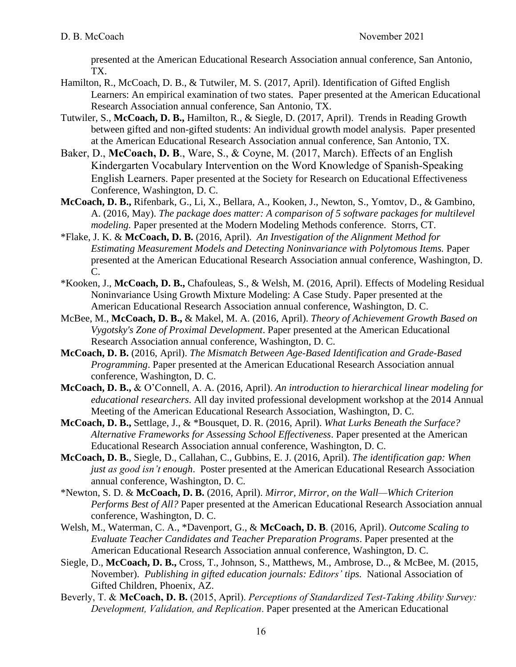presented at the American Educational Research Association annual conference, San Antonio, TX.

- Hamilton, R., McCoach, D. B., & Tutwiler, M. S. (2017, April). Identification of Gifted English Learners: An empirical examination of two states. Paper presented at the American Educational Research Association annual conference, San Antonio, TX.
- Tutwiler, S., **McCoach, D. B.,** Hamilton, R., & Siegle, D. (2017, April). Trends in Reading Growth between gifted and non-gifted students: An individual growth model analysis. Paper presented at the American Educational Research Association annual conference, San Antonio, TX.
- Baker, D., **McCoach, D. B**., Ware, S., & Coyne, M. (2017, March). Effects of an English Kindergarten Vocabulary Intervention on the Word Knowledge of Spanish-Speaking English Learners. Paper presented at the Society for Research on Educational Effectiveness Conference, Washington, D. C.
- **McCoach, D. B.,** Rifenbark, G., Li, X., Bellara, A., Kooken, J., Newton, S., Yomtov, D., & Gambino, A. (2016, May). *The package does matter: A comparison of 5 software packages for multilevel modeling.* Paper presented at the Modern Modeling Methods conference. Storrs, CT.
- \*Flake, J. K. & **McCoach, D. B.** (2016, April). *An Investigation of the Alignment Method for Estimating Measurement Models and Detecting Noninvariance with Polytomous Items.* Paper presented at the American Educational Research Association annual conference, Washington, D. C.
- \*Kooken, J., **McCoach, D. B.,** Chafouleas, S., & Welsh, M. (2016, April). Effects of Modeling Residual Noninvariance Using Growth Mixture Modeling: A Case Study. Paper presented at the American Educational Research Association annual conference, Washington, D. C.
- McBee, M., **McCoach, D. B.,** & Makel, M. A. (2016, April). *Theory of Achievement Growth Based on Vygotsky's Zone of Proximal Development*. Paper presented at the American Educational Research Association annual conference, Washington, D. C.
- **McCoach, D. B.** (2016, April). *The Mismatch Between Age-Based Identification and Grade-Based Programming*. Paper presented at the American Educational Research Association annual conference, Washington, D. C.
- **McCoach, D. B.,** & O'Connell, A. A. (2016, April). *An introduction to hierarchical linear modeling for educational researchers*. All day invited professional development workshop at the 2014 Annual Meeting of the American Educational Research Association, Washington, D. C.
- **McCoach, D. B.,** Settlage, J., & \*Bousquet, D. R. (2016, April). *What Lurks Beneath the Surface? Alternative Frameworks for Assessing School Effectiveness*. Paper presented at the American Educational Research Association annual conference, Washington, D. C.
- **McCoach, D. B.**, Siegle, D., Callahan, C., Gubbins, E. J. (2016, April). *The identification gap: When just as good isn't enough*. Poster presented at the American Educational Research Association annual conference, Washington, D. C.
- \*Newton, S. D. & **McCoach, D. B.** (2016, April). *Mirror, Mirror, on the Wall—Which Criterion Performs Best of All?* Paper presented at the American Educational Research Association annual conference, Washington, D. C.
- Welsh, M., Waterman, C. A., \*Davenport, G., & **McCoach, D. B**. (2016, April). *Outcome Scaling to Evaluate Teacher Candidates and Teacher Preparation Programs*. Paper presented at the American Educational Research Association annual conference, Washington, D. C.
- Siegle, D., **McCoach, D. B.,** Cross, T., Johnson, S., Matthews, M., Ambrose, D.., & McBee, M. (2015, November).*Publishing in gifted education journals: Editors' tips.* National Association of Gifted Children, Phoenix, AZ.
- Beverly, T. & **McCoach, D. B.** (2015, April). *Perceptions of Standardized Test-Taking Ability Survey: Development, Validation, and Replication*. Paper presented at the American Educational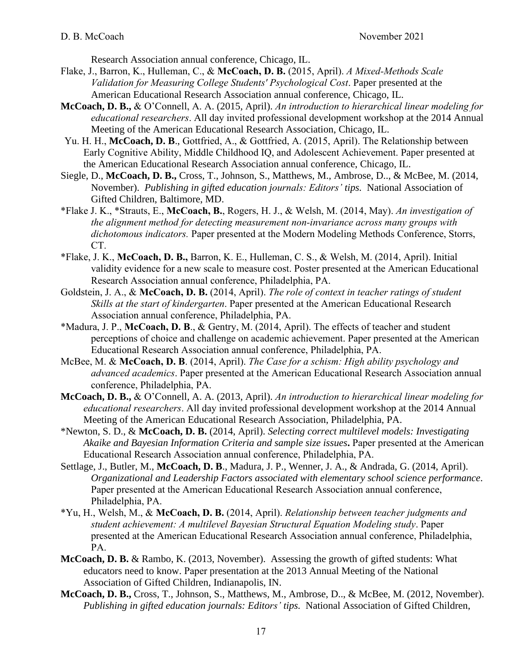Research Association annual conference, Chicago, IL.

- Flake, J., Barron, K., Hulleman, C., & **McCoach, D. B.** (2015, April). *A Mixed-Methods Scale Validation for Measuring College Students' Psychological Cost*. Paper presented at the American Educational Research Association annual conference, Chicago, IL.
- **McCoach, D. B.,** & O'Connell, A. A. (2015, April). *An introduction to hierarchical linear modeling for educational researchers*. All day invited professional development workshop at the 2014 Annual Meeting of the American Educational Research Association, Chicago, IL.
- Yu. H. H., **McCoach, D. B**., Gottfried, A., & Gottfried, A. (2015, April). The Relationship between Early Cognitive Ability, Middle Childhood IQ, and Adolescent Achievement. Paper presented at the American Educational Research Association annual conference, Chicago, IL.
- Siegle, D., **McCoach, D. B.,** Cross, T., Johnson, S., Matthews, M., Ambrose, D.., & McBee, M. (2014, November).*Publishing in gifted education journals: Editors' tips.* National Association of Gifted Children, Baltimore, MD.
- \*Flake J. K., \*Strauts, E., **McCoach, B.**, Rogers, H. J., & Welsh, M. (2014, May). *An investigation of the alignment method for detecting measurement non-invariance across many groups with dichotomous indicators.* Paper presented at the Modern Modeling Methods Conference, Storrs, CT.
- \*Flake, J. K., **McCoach, D. B.,** Barron, K. E., Hulleman, C. S., & Welsh, M. (2014, April). Initial validity evidence for a new scale to measure cost. Poster presented at the American Educational Research Association annual conference, Philadelphia, PA.
- Goldstein, J. A., & **McCoach, D. B.** (2014, April). *The role of context in teacher ratings of student Skills at the start of kindergarten*. Paper presented at the American Educational Research Association annual conference, Philadelphia, PA.
- \*Madura, J. P., **McCoach, D. B**., & Gentry, M. (2014, April). The effects of teacher and student perceptions of choice and challenge on academic achievement. Paper presented at the American Educational Research Association annual conference, Philadelphia, PA.
- McBee, M. & **McCoach, D. B**. (2014, April). *The Case for a schism: High ability psychology and advanced academics*. Paper presented at the American Educational Research Association annual conference, Philadelphia, PA.
- **McCoach, D. B.,** & O'Connell, A. A. (2013, April). *An introduction to hierarchical linear modeling for educational researchers*. All day invited professional development workshop at the 2014 Annual Meeting of the American Educational Research Association, Philadelphia, PA.
- \*Newton, S. D., & **McCoach, D. B.** (2014, April). *Selecting correct multilevel models: Investigating Akaike and Bayesian Information Criteria and sample size issues***.** Paper presented at the American Educational Research Association annual conference, Philadelphia, PA.
- Settlage, J., Butler, M., **McCoach, D. B**., Madura, J. P., Wenner, J. A., & Andrada, G. (2014, April). *Organizational and Leadership Factors associated with elementary school science performance*. Paper presented at the American Educational Research Association annual conference, Philadelphia, PA.
- \*Yu, H., Welsh, M., & **McCoach, D. B.** (2014, April). *Relationship between teacher judgments and student achievement: A multilevel Bayesian Structural Equation Modeling study*. Paper presented at the American Educational Research Association annual conference, Philadelphia, PA.
- **McCoach, D. B.** & Rambo, K. (2013, November). Assessing the growth of gifted students: What educators need to know. Paper presentation at the 2013 Annual Meeting of the National Association of Gifted Children, Indianapolis, IN.
- **McCoach, D. B.,** Cross, T., Johnson, S., Matthews, M., Ambrose, D.., & McBee, M. (2012, November). *Publishing in gifted education journals: Editors' tips.* National Association of Gifted Children,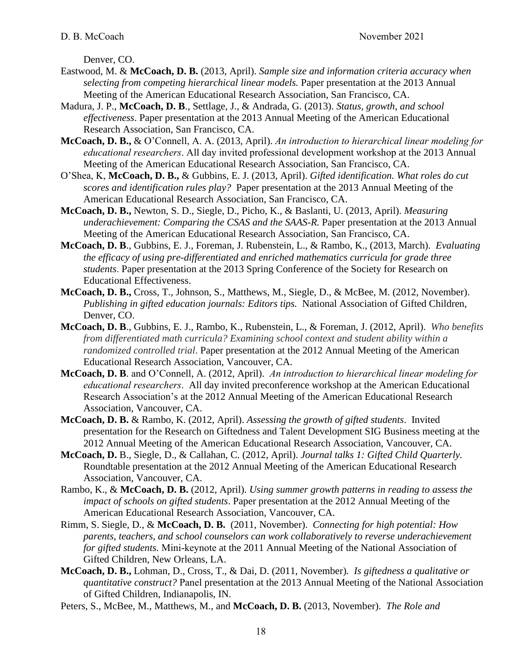Denver, CO.

- Eastwood, M. & **McCoach, D. B.** (2013, April). *Sample size and information criteria accuracy when selecting from competing hierarchical linear models.* Paper presentation at the 2013 Annual Meeting of the American Educational Research Association, San Francisco, CA.
- Madura, J. P., **McCoach, D. B**., Settlage, J., & Andrada, G. (2013). *Status, growth, and school effectiveness*. Paper presentation at the 2013 Annual Meeting of the American Educational Research Association, San Francisco, CA.
- **McCoach, D. B.,** & O'Connell, A. A. (2013, April). *An introduction to hierarchical linear modeling for educational researchers*. All day invited professional development workshop at the 2013 Annual Meeting of the American Educational Research Association, San Francisco, CA.
- O'Shea, K, **McCoach, D. B.,** & Gubbins, E. J. (2013, April). *Gifted identification. What roles do cut scores and identification rules play?* Paper presentation at the 2013 Annual Meeting of the American Educational Research Association, San Francisco, CA.
- **McCoach, D. B.,** Newton, S. D., Siegle, D., Picho, K., & Baslanti, U. (2013, April). *Measuring underachievement: Comparing the CSAS and the SAAS-R.* Paper presentation at the 2013 Annual Meeting of the American Educational Research Association, San Francisco, CA.
- **McCoach, D. B**., Gubbins, E. J., Foreman, J. Rubenstein, L., & Rambo, K., (2013, March). *Evaluating the efficacy of using pre-differentiated and enriched mathematics curricula for grade three students*. Paper presentation at the 2013 Spring Conference of the Society for Research on Educational Effectiveness.
- **McCoach, D. B.,** Cross, T., Johnson, S., Matthews, M., Siegle, D., & McBee, M. (2012, November). *Publishing in gifted education journals: Editors tips.* National Association of Gifted Children, Denver, CO.
- **McCoach, D. B**., Gubbins, E. J., Rambo, K., Rubenstein, L., & Foreman, J. (2012, April). *Who benefits from differentiated math curricula? Examining school context and student ability within a randomized controlled trial*. Paper presentation at the 2012 Annual Meeting of the American Educational Research Association, Vancouver, CA.
- **McCoach, D. B**. and O'Connell, A. (2012, April). *An introduction to hierarchical linear modeling for educational researchers*. All day invited preconference workshop at the American Educational Research Association's at the 2012 Annual Meeting of the American Educational Research Association, Vancouver, CA.
- **McCoach, D. B.** & Rambo, K. (2012, April). *Assessing the growth of gifted students*. Invited presentation for the Research on Giftedness and Talent Development SIG Business meeting at the 2012 Annual Meeting of the American Educational Research Association, Vancouver, CA.
- **McCoach, D.** B., Siegle, D., & Callahan, C. (2012, April). *Journal talks 1: Gifted Child Quarterly.* Roundtable presentation at the 2012 Annual Meeting of the American Educational Research Association, Vancouver, CA.
- Rambo, K., & **McCoach, D. B.** (2012, April). *Using summer growth patterns in reading to assess the impact of schools on gifted students*. Paper presentation at the 2012 Annual Meeting of the American Educational Research Association, Vancouver, CA.
- Rimm, S. Siegle, D., & **McCoach, D. B.** (2011, November). *Connecting for high potential: How parents, teachers, and school counselors can work collaboratively to reverse underachievement for gifted students.* Mini-keynote at the 2011 Annual Meeting of the National Association of Gifted Children, New Orleans, LA.
- **McCoach, D. B.,** Lohman, D., Cross, T., & Dai, D. (2011, November)*. Is giftedness a qualitative or quantitative construct?* Panel presentation at the 2013 Annual Meeting of the National Association of Gifted Children, Indianapolis, IN.
- Peters, S., McBee, M., Matthews, M., and **McCoach, D. B.** (2013, November). *The Role and*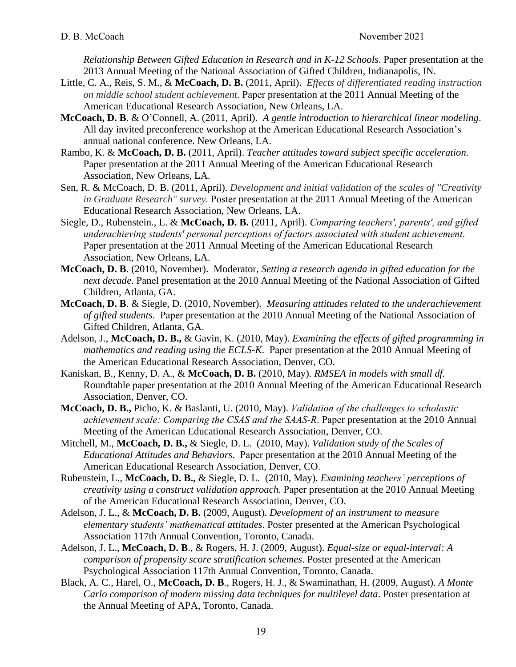*Relationship Between Gifted Education in Research and in K-12 Schools*. Paper presentation at the 2013 Annual Meeting of the National Association of Gifted Children, Indianapolis, IN.

- Little, C. A., Reis, S. M., & **McCoach, D. B.** (2011, April). *Effects of differentiated reading instruction on middle school student achievement.* Paper presentation at the 2011 Annual Meeting of the American Educational Research Association, New Orleans, LA.
- **McCoach, D. B**. & O'Connell, A. (2011, April). *A gentle introduction to hierarchical linear modeling*. All day invited preconference workshop at the American Educational Research Association's annual national conference. New Orleans, LA.
- Rambo, K. & **McCoach, D. B.** (2011, April). *Teacher attitudes toward subject specific acceleration.* Paper presentation at the 2011 Annual Meeting of the American Educational Research Association, New Orleans, LA.
- Sen, R. & McCoach, D. B. (2011, April). *Development and initial validation of the scales of "Creativity in Graduate Research" survey.* Poster presentation at the 2011 Annual Meeting of the American Educational Research Association, New Orleans, LA.
- Siegle, D., Rubenstein., L. & **McCoach, D. B.** (2011, April). *Comparing teachers', parents', and gifted underachieving students' personal perceptions of factors associated with student achievement*. Paper presentation at the 2011 Annual Meeting of the American Educational Research Association, New Orleans, LA.
- **McCoach, D. B**. (2010, November). Moderator, *Setting a research agenda in gifted education for the next decade*. Panel presentation at the 2010 Annual Meeting of the National Association of Gifted Children, Atlanta, GA.
- **McCoach, D. B**. & Siegle, D. (2010, November). *Measuring attitudes related to the underachievement of gifted students*. Paper presentation at the 2010 Annual Meeting of the National Association of Gifted Children, Atlanta, GA.
- Adelson, J., **McCoach, D. B.,** & Gavin, K. (2010, May). *Examining the effects of gifted programming in mathematics and reading using the ECLS-K*. Paper presentation at the 2010 Annual Meeting of the American Educational Research Association, Denver, CO.
- Kaniskan, B., Kenny, D. A., & **McCoach, D. B.** (2010, May). *RMSEA in models with small df.* Roundtable paper presentation at the 2010 Annual Meeting of the American Educational Research Association, Denver, CO.
- **McCoach, D. B.,** Picho, K. & Baslanti, U. (2010, May). *Validation of the challenges to scholastic achievement scale: Comparing the CSAS and the SAAS-R*. Paper presentation at the 2010 Annual Meeting of the American Educational Research Association, Denver, CO.
- Mitchell, M., **McCoach, D. B.,** & Siegle, D. L. (2010, May). *Validation study of the Scales of Educational Attitudes and Behaviors*. Paper presentation at the 2010 Annual Meeting of the American Educational Research Association, Denver, CO.
- Rubenstein, L., **McCoach, D. B.,** & Siegle, D. L.(2010, May). *Examining teachers' perceptions of creativity using a construct validation approach.* Paper presentation at the 2010 Annual Meeting of the American Educational Research Association, Denver, CO.
- Adelson, J. L., & **McCoach, D. B.** (2009, August). *Development of an instrument to measure elementary students' mathematical attitudes*. Poster presented at the American Psychological Association 117th Annual Convention, Toronto, Canada.
- Adelson, J. L., **McCoach, D. B**., & Rogers, H. J. (2009, August). *Equal-size or equal-interval: A comparison of propensity score stratification schemes*. Poster presented at the American Psychological Association 117th Annual Convention, Toronto, Canada.
- Black, A. C., Harel, O., **McCoach, D. B**., Rogers, H. J., & Swaminathan, H. (2009, August). *A Monte Carlo comparison of modern missing data techniques for multilevel data*. Poster presentation at the Annual Meeting of APA, Toronto, Canada.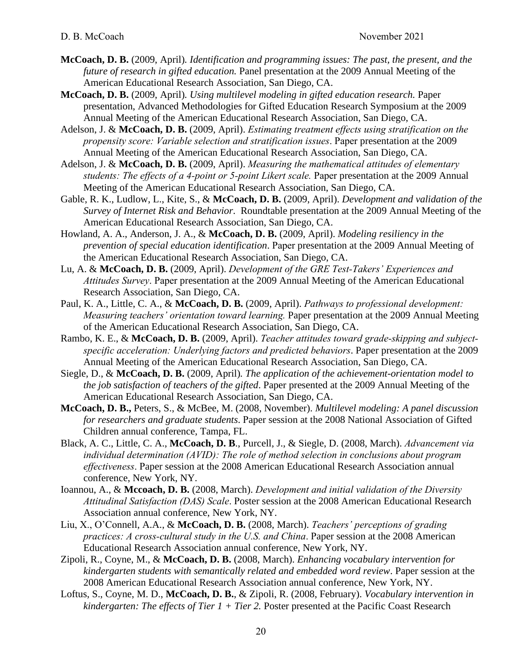- **McCoach, D. B.** (2009, April)*. Identification and programming issues: The past, the present, and the future of research in gifted education.* Panel presentation at the 2009 Annual Meeting of the American Educational Research Association, San Diego, CA.
- **McCoach, D. B.** (2009, April)*. Using multilevel modeling in gifted education research.* Paper presentation, Advanced Methodologies for Gifted Education Research Symposium at the 2009 Annual Meeting of the American Educational Research Association, San Diego, CA.
- Adelson, J. & **McCoach, D. B.** (2009, April). *Estimating treatment effects using stratification on the propensity score: Variable selection and stratification issues*. Paper presentation at the 2009 Annual Meeting of the American Educational Research Association, San Diego, CA.
- Adelson, J. & **McCoach, D. B.** (2009, April). *Measuring the mathematical attitudes of elementary students: The effects of a 4-point or 5-point Likert scale.* Paper presentation at the 2009 Annual Meeting of the American Educational Research Association, San Diego, CA.
- Gable, R. K., Ludlow, L., Kite, S., & **McCoach, D. B.** (2009, April). *Development and validation of the Survey of Internet Risk and Behavior*. Roundtable presentation at the 2009 Annual Meeting of the American Educational Research Association, San Diego, CA.
- Howland, A. A., Anderson, J. A., & **McCoach, D. B.** (2009, April). *Modeling resiliency in the prevention of special education identification*. Paper presentation at the 2009 Annual Meeting of the American Educational Research Association, San Diego, CA.
- Lu, A. & **McCoach, D. B.** (2009, April). *Development of the GRE Test-Takers' Experiences and Attitudes Survey*. Paper presentation at the 2009 Annual Meeting of the American Educational Research Association, San Diego, CA.
- Paul, K. A., Little, C. A., & **McCoach, D. B.** (2009, April). *Pathways to professional development: Measuring teachers' orientation toward learning.* Paper presentation at the 2009 Annual Meeting of the American Educational Research Association, San Diego, CA.
- Rambo, K. E., & **McCoach, D. B.** (2009, April). *Teacher attitudes toward grade-skipping and subjectspecific acceleration: Underlying factors and predicted behaviors*. Paper presentation at the 2009 Annual Meeting of the American Educational Research Association, San Diego, CA.
- Siegle, D., & **McCoach, D. B.** (2009, April)*. The application of the achievement-orientation model to the job satisfaction of teachers of the gifted*. Paper presented at the 2009 Annual Meeting of the American Educational Research Association, San Diego, CA.
- **McCoach, D. B.,** Peters, S., & McBee, M. (2008, November). *Multilevel modeling: A panel discussion for researchers and graduate students*. Paper session at the 2008 National Association of Gifted Children annual conference, Tampa, FL.
- Black, A. C., Little, C. A., **McCoach, D. B**., Purcell, J., & Siegle, D. (2008, March). *[Advancement via](http://64.112.226.77/one/aera/aera08/index.php?click_key=1&cmd=Multi+Search+Search+Load+Publication&publication_id=228084&PHPSESSID=7d9dc4d461a45ba4740fa3eee4596440)  [individual determination \(AVID\): The role of method selection in conclusions about program](http://64.112.226.77/one/aera/aera08/index.php?click_key=1&cmd=Multi+Search+Search+Load+Publication&publication_id=228084&PHPSESSID=7d9dc4d461a45ba4740fa3eee4596440)  [effectiveness](http://64.112.226.77/one/aera/aera08/index.php?click_key=1&cmd=Multi+Search+Search+Load+Publication&publication_id=228084&PHPSESSID=7d9dc4d461a45ba4740fa3eee4596440)*. Paper session at the 2008 American Educational Research Association annual conference, New York, NY.
- Ioannou, A., & **Mccoach, D. B.** (2008, March). *Development [and initial validation of the](http://64.112.226.77/one/aera/aera08/index.php?click_key=1&cmd=Multi+Search+Search+Load+Publication&publication_id=216914&PHPSESSID=7d9dc4d461a45ba4740fa3eee4596440) Diversity [Attitudinal Satisfaction \(DAS\) Scale](http://64.112.226.77/one/aera/aera08/index.php?click_key=1&cmd=Multi+Search+Search+Load+Publication&publication_id=216914&PHPSESSID=7d9dc4d461a45ba4740fa3eee4596440)*. Poster session at the 2008 American Educational Research Association annual conference, New York, NY.
- Liu, X., O'Connell, A.A., & **McCoach, D. B.** (2008, March). *Teachers' [perceptions of grading](http://64.112.226.77/one/aera/aera08/index.php?click_key=1&cmd=Multi+Search+Search+Load+Publication&publication_id=226807&PHPSESSID=7d9dc4d461a45ba4740fa3eee4596440) [practices: A cross-cultural study in the U.S. and China](http://64.112.226.77/one/aera/aera08/index.php?click_key=1&cmd=Multi+Search+Search+Load+Publication&publication_id=226807&PHPSESSID=7d9dc4d461a45ba4740fa3eee4596440)*. Paper session at the 2008 American Educational Research Association annual conference, New York, NY.
- Zipoli, R., Coyne, M., & **McCoach, D. B.** (2008, March). *Enhancing [vocabulary intervention for](http://64.112.226.77/one/aera/aera08/index.php?click_key=1&cmd=Multi+Search+Search+Load+Publication&publication_id=221734&PHPSESSID=7d9dc4d461a45ba4740fa3eee4596440)  [kindergarten students with semantically](http://64.112.226.77/one/aera/aera08/index.php?click_key=1&cmd=Multi+Search+Search+Load+Publication&publication_id=221734&PHPSESSID=7d9dc4d461a45ba4740fa3eee4596440) related and embedded word review*. Paper session at the 2008 American Educational Research Association annual conference, New York, NY.
- Loftus, S., Coyne, M. D., **McCoach, D. B.**, & Zipoli, R. (2008, February). *Vocabulary intervention in kindergarten: The effects of Tier 1 + Tier 2.* Poster presented at the Pacific Coast Research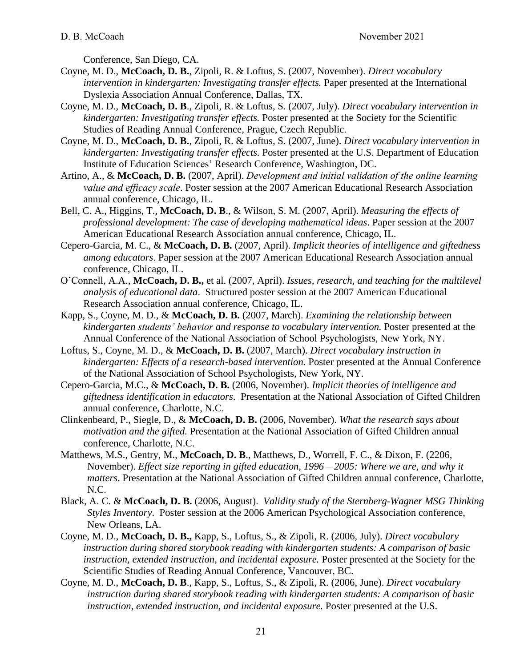Conference, San Diego, CA.

- Coyne, M. D., **McCoach, D. B.**, Zipoli, R. & Loftus, S. (2007, November). *Direct vocabulary intervention in kindergarten: Investigating transfer effects.* Paper presented at the International Dyslexia Association Annual Conference, Dallas, TX.
- Coyne, M. D., **McCoach, D. B**., Zipoli, R. & Loftus, S. (2007, July). *Direct vocabulary intervention in kindergarten: Investigating transfer effects.* Poster presented at the Society for the Scientific Studies of Reading Annual Conference, Prague, Czech Republic.
- Coyne, M. D., **McCoach, D. B.**, Zipoli, R. & Loftus, S. (2007, June). *Direct vocabulary intervention in kindergarten: Investigating transfer effects.* Poster presented at the U.S. Department of Education Institute of Education Sciences' Research Conference, Washington, DC.
- Artino, A., & **McCoach, D. B.** (2007, April). *Development and initial validation of the online learning value and efficacy scale*. Poster session at the 2007 American Educational Research Association annual conference, Chicago, IL.
- Bell, C. A., Higgins, T., **McCoach, D. B**., & Wilson, S. M. (2007, April). *Measuring the effects of professional development: The case of developing mathematical ideas*. Paper session at the 2007 American Educational Research Association annual conference, Chicago, IL.
- Cepero-Garcia, M. C., & **McCoach, D. B.** (2007, April). *Implicit theories of intelligence and giftedness among educators*. Paper session at the 2007 American Educational Research Association annual conference, Chicago, IL.
- O'Connell, A.A., **McCoach, D. B.,** et al. (2007, April). *Issues, research, and teaching for the multilevel analysis of educational data*. Structured poster session at the 2007 American Educational Research Association annual conference, Chicago, IL.
- Kapp, S., Coyne, M. D., & **McCoach, D. B.** (2007, March). *Examining the relationship between kindergarten students' behavior and response to vocabulary intervention.* Poster presented at the Annual Conference of the National Association of School Psychologists, New York, NY.
- Loftus, S., Coyne, M. D., & **McCoach, D. B.** (2007, March). *Direct vocabulary instruction in kindergarten: Effects of a research-based intervention.* Poster presented at the Annual Conference of the National Association of School Psychologists, New York, NY.
- Cepero-Garcia, M.C., & **McCoach, D. B.** (2006, November). *Implicit theories of intelligence and giftedness identification in educators*. Presentation at the National Association of Gifted Children annual conference, Charlotte, N.C.
- Clinkenbeard, P., Siegle, D., & **McCoach, D. B.** (2006, November). *What the research says about motivation and the gifted.* Presentation at the National Association of Gifted Children annual conference, Charlotte, N.C.
- Matthews, M.S., Gentry, M., **McCoach, D. B**., Matthews, D., Worrell, F. C., & Dixon, F. (2206, November). *Effect size reporting in gifted education, 1996 – 2005: Where we are, and why it matters*. Presentation at the National Association of Gifted Children annual conference, Charlotte, N.C.
- Black, A. C. & **McCoach, D. B.** (2006, August). *Validity study of the Sternberg-Wagner MSG Thinking Styles Inventory*. Poster session at the 2006 American Psychological Association conference, New Orleans, LA.
- Coyne, M. D., **McCoach, D. B.,** Kapp, S., Loftus, S., & Zipoli, R. (2006, July). *Direct vocabulary instruction during shared storybook reading with kindergarten students: A comparison of basic instruction, extended instruction, and incidental exposure.* Poster presented at the Society for the Scientific Studies of Reading Annual Conference, Vancouver, BC.
- Coyne, M. D., **McCoach, D. B**., Kapp, S., Loftus, S., & Zipoli, R. (2006, June). *Direct vocabulary instruction during shared storybook reading with kindergarten students: A comparison of basic instruction, extended instruction, and incidental exposure.* Poster presented at the U.S.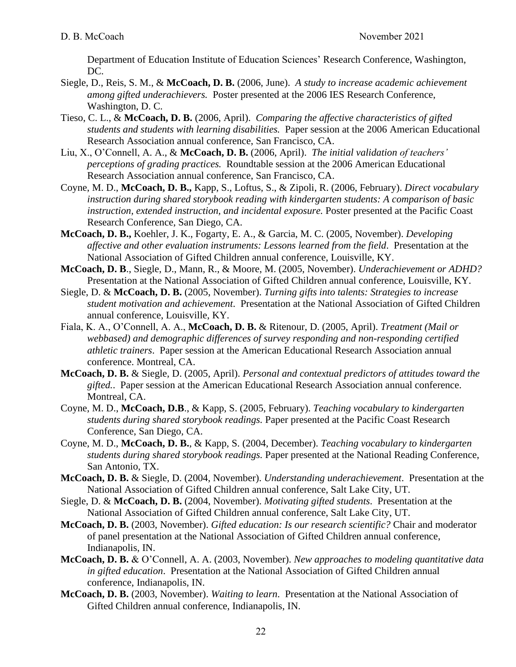Department of Education Institute of Education Sciences' Research Conference, Washington, DC.

- Siegle, D., Reis, S. M., & **McCoach, D. B.** (2006, June). *A study to increase academic achievement among gifted underachievers.* Poster presented at the 2006 IES Research Conference, Washington, D. C.
- Tieso, C. L., & **McCoach, D. B.** (2006, April). *Comparing the affective characteristics of gifted students and students with learning disabilities.* Paper session at the 2006 American Educational Research Association annual conference, San Francisco, CA.
- Liu, X., O'Connell, A. A., & **McCoach, D. B.** (2006, April). *The initial validation of teachers' perceptions of grading practices.* Roundtable session at the 2006 American Educational Research Association annual conference, San Francisco, CA.
- Coyne, M. D., **McCoach, D. B.,** Kapp, S., Loftus, S., & Zipoli, R. (2006, February). *Direct vocabulary instruction during shared storybook reading with kindergarten students: A comparison of basic instruction, extended instruction, and incidental exposure.* Poster presented at the Pacific Coast Research Conference, San Diego, CA.
- **McCoach, D. B.,** Koehler, J. K., Fogarty, E. A., & Garcia, M. C. (2005, November). *Developing affective and other evaluation instruments: Lessons learned from the field*. Presentation at the National Association of Gifted Children annual conference, Louisville, KY.
- **McCoach, D. B**., Siegle, D., Mann, R., & Moore, M. (2005, November). *Underachievement or ADHD?* Presentation at the National Association of Gifted Children annual conference, Louisville, KY.
- Siegle, D. & **McCoach, D. B.** (2005, November). *Turning gifts into talents: Strategies to increase student motivation and achievement*. Presentation at the National Association of Gifted Children annual conference, Louisville, KY.
- Fiala, K. A., O'Connell, A. A., **McCoach, D. B.** & Ritenour, D. (2005, April). *Treatment (Mail or webbased) and demographic differences of survey responding and non-responding certified athletic trainers*. Paper session at the American Educational Research Association annual conference. Montreal, CA.
- **McCoach, D. B.** & Siegle, D. (2005, April). *Personal and contextual predictors of attitudes toward the gifted.*. Paper session at the American Educational Research Association annual conference. Montreal, CA.
- Coyne, M. D., **McCoach, D.B**., & Kapp, S. (2005, February). *Teaching vocabulary to kindergarten students during shared storybook readings.* Paper presented at the Pacific Coast Research Conference, San Diego, CA.
- Coyne, M. D., **McCoach, D. B.**, & Kapp, S. (2004, December). *Teaching vocabulary to kindergarten students during shared storybook readings.* Paper presented at the National Reading Conference, San Antonio, TX.
- **McCoach, D. B.** & Siegle, D. (2004, November). *Understanding underachievement*. Presentation at the National Association of Gifted Children annual conference, Salt Lake City, UT.
- Siegle, D. & **McCoach, D. B.** (2004, November). *Motivating gifted students*. Presentation at the National Association of Gifted Children annual conference, Salt Lake City, UT.
- **McCoach, D. B.** (2003, November). *Gifted education: Is our research scientific?* Chair and moderator of panel presentation at the National Association of Gifted Children annual conference, Indianapolis, IN.
- **McCoach, D. B.** & O'Connell, A. A. (2003, November). *New approaches to modeling quantitative data in gifted education*. Presentation at the National Association of Gifted Children annual conference, Indianapolis, IN.
- **McCoach, D. B.** (2003, November). *Waiting to learn*. Presentation at the National Association of Gifted Children annual conference, Indianapolis, IN.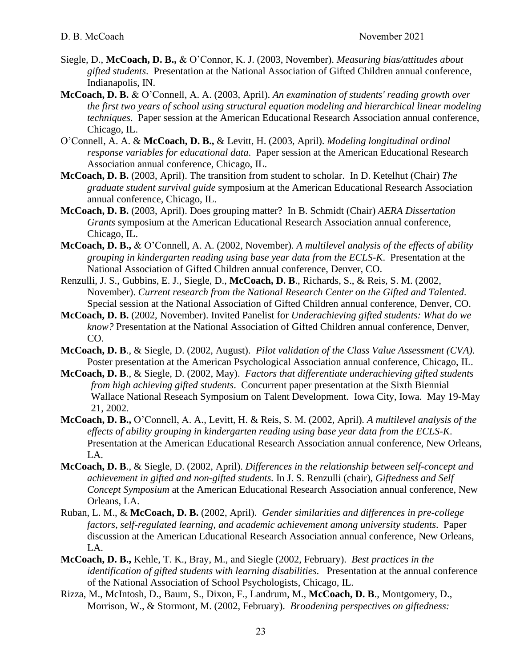- Siegle, D., **McCoach, D. B.,** & O'Connor, K. J. (2003, November). *Measuring bias/attitudes about gifted students*. Presentation at the National Association of Gifted Children annual conference, Indianapolis, IN.
- **McCoach, D. B.** & O'Connell, A. A. (2003, April). *An examination of students' reading growth over the first two years of school using structural equation modeling and hierarchical linear modeling techniques*. Paper session at the American Educational Research Association annual conference, Chicago, IL.
- O'Connell, A. A. & **McCoach, D. B.,** & Levitt, H. (2003, April). *Modeling longitudinal ordinal response variables for educational data*. Paper session at the American Educational Research Association annual conference, Chicago, IL.
- **McCoach, D. B.** (2003, April). The transition from student to scholar. In D. Ketelhut (Chair) *The graduate student survival guide* symposium at the American Educational Research Association annual conference, Chicago, IL.
- **McCoach, D. B.** (2003, April). Does grouping matter? In B. Schmidt (Chair) *AERA Dissertation Grants* symposium at the American Educational Research Association annual conference, Chicago, IL.
- **McCoach, D. B.,** & O'Connell, A. A. (2002, November)*. A multilevel analysis of the effects of ability grouping in kindergarten reading using base year data from the ECLS-K*. Presentation at the National Association of Gifted Children annual conference, Denver, CO.
- Renzulli, J. S., Gubbins, E. J., Siegle, D., **McCoach, D. B**., Richards, S., & Reis, S. M. (2002, November). *Current research from the National Research Center on the Gifted and Talented*. Special session at the National Association of Gifted Children annual conference, Denver, CO.
- **McCoach, D. B.** (2002, November). Invited Panelist for *Underachieving gifted students: What do we know?* Presentation at the National Association of Gifted Children annual conference, Denver, CO.
- **McCoach, D. B**., & Siegle, D. (2002, August). *Pilot validation of the Class Value Assessment (CVA).*  Poster presentation at the American Psychological Association annual conference, Chicago, IL.
- **McCoach, D. B**., & Siegle, D. (2002, May). *Factors that differentiate underachieving gifted students from high achieving gifted students*. Concurrent paper presentation at the Sixth Biennial Wallace National Reseach Symposium on Talent Development. Iowa City, Iowa. May 19-May 21, 2002.
- **McCoach, D. B.,** O'Connell, A. A., Levitt, H. & Reis, S. M. (2002, April)*. A multilevel analysis of the effects of ability grouping in kindergarten reading using base year data from the ECLS-K*. Presentation at the American Educational Research Association annual conference, New Orleans, LA.
- **McCoach, D. B**., & Siegle, D. (2002, April). *Differences in the relationship between self-concept and achievement in gifted and non-gifted students.* In J. S. Renzulli (chair), *Giftedness and Self Concept Symposium* at the American Educational Research Association annual conference, New Orleans, LA.
- Ruban, L. M., & **McCoach, D. B.** (2002, April). *Gender similarities and differences in pre-college factors, self-regulated learning, and academic achievement among university students*. Paper discussion at the American Educational Research Association annual conference, New Orleans, LA.
- **McCoach, D. B.,** Kehle, T. K., Bray, M., and Siegle (2002, February). *Best practices in the identification of gifted students with learning disabilities*. Presentation at the annual conference of the National Association of School Psychologists, Chicago, IL.
- Rizza, M., McIntosh, D., Baum, S., Dixon, F., Landrum, M., **McCoach, D. B**., Montgomery, D., Morrison, W., & Stormont, M. (2002, February). *Broadening perspectives on giftedness:*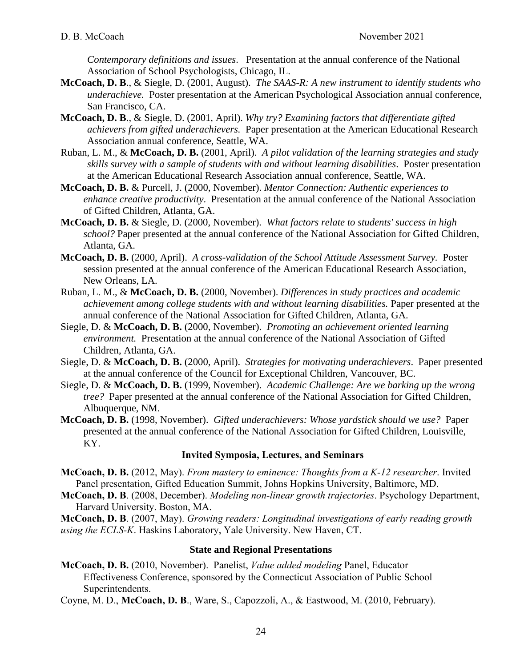*Contemporary definitions and issues*. Presentation at the annual conference of the National Association of School Psychologists, Chicago, IL.

- **McCoach, D. B**., & Siegle, D. (2001, August). *The SAAS-R: A new instrument to identify students who underachieve.* Poster presentation at the American Psychological Association annual conference, San Francisco, CA.
- **McCoach, D. B**., & Siegle, D. (2001, April). *Why try? Examining factors that differentiate gifted achievers from gifted underachievers.* Paper presentation at the American Educational Research Association annual conference, Seattle, WA.
- Ruban, L. M., & **McCoach, D. B.** (2001, April). *A pilot validation of the learning strategies and study skills survey with a sample of students with and without learning disabilities*. Poster presentation at the American Educational Research Association annual conference, Seattle, WA.
- **McCoach, D. B.** & Purcell, J. (2000, November). *Mentor Connection: Authentic experiences to enhance creative productivity*. Presentation at the annual conference of the National Association of Gifted Children, Atlanta, GA.
- **McCoach, D. B.** & Siegle, D. (2000, November). *What factors relate to students' success in high school?* Paper presented at the annual conference of the National Association for Gifted Children, Atlanta, GA.
- **McCoach, D. B.** (2000, April). *A cross-validation of the School Attitude Assessment Survey.* Poster session presented at the annual conference of the American Educational Research Association, New Orleans, LA.
- Ruban, L. M., & **McCoach, D. B.** (2000, November). *Differences in study practices and academic achievement among college students with and without learning disabilities.* Paper presented at the annual conference of the National Association for Gifted Children, Atlanta, GA.
- Siegle, D. & **McCoach, D. B.** (2000, November). *Promoting an achievement oriented learning environment.* Presentation at the annual conference of the National Association of Gifted Children, Atlanta, GA.
- Siegle, D. & **McCoach, D. B.** (2000, April). *Strategies for motivating underachievers*. Paper presented at the annual conference of the Council for Exceptional Children, Vancouver, BC.
- Siegle, D. & **McCoach, D. B.** (1999, November). *Academic Challenge: Are we barking up the wrong tree?* Paper presented at the annual conference of the National Association for Gifted Children, Albuquerque, NM.
- **McCoach, D. B.** (1998, November). *Gifted underachievers: Whose yardstick should we use?* Paper presented at the annual conference of the National Association for Gifted Children, Louisville, KY.

### **Invited Symposia, Lectures, and Seminars**

- **McCoach, D. B.** (2012, May). *From mastery to eminence: Thoughts from a K-12 researcher*. Invited Panel presentation, Gifted Education Summit, Johns Hopkins University, Baltimore, MD.
- **McCoach, D. B**. (2008, December). *Modeling non-linear growth trajectories*. Psychology Department, Harvard University. Boston, MA.

**McCoach, D. B**. (2007, May). *Growing readers: Longitudinal investigations of early reading growth using the ECLS-K*. Haskins Laboratory, Yale University. New Haven, CT.

### **State and Regional Presentations**

- **McCoach, D. B.** (2010, November). Panelist, *Value added modeling* Panel, Educator Effectiveness Conference, sponsored by the Connecticut Association of Public School Superintendents.
- Coyne, M. D., **McCoach, D. B**., Ware, S., Capozzoli, A., & Eastwood, M. (2010, February).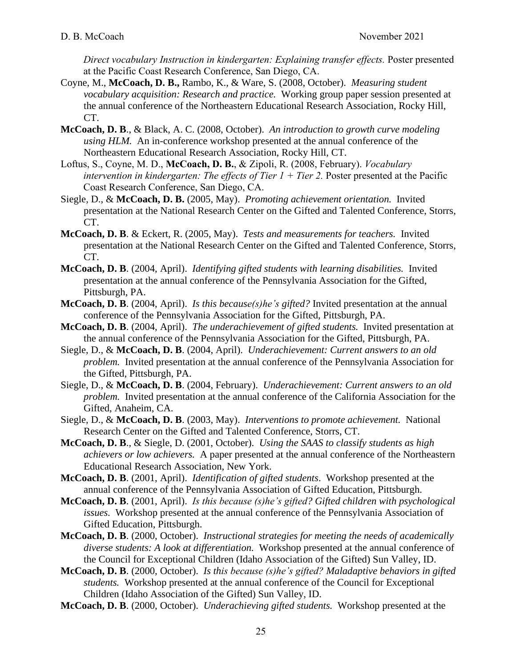*Direct vocabulary Instruction in kindergarten: Explaining transfer effects.* Poster presented at the Pacific Coast Research Conference, San Diego, CA.

- Coyne, M., **McCoach, D. B.,** Rambo, K., & Ware, S. (2008, October). *Measuring student vocabulary acquisition: Research and practice.* Working group paper session presented at the annual conference of the Northeastern Educational Research Association, Rocky Hill, CT.
- **McCoach, D. B**., & Black, A. C. (2008, October). *An introduction to growth curve modeling using HLM.* An in-conference workshop presented at the annual conference of the Northeastern Educational Research Association, Rocky Hill, CT.
- Loftus, S., Coyne, M. D., **McCoach, D. B.**, & Zipoli, R. (2008, February). *Vocabulary intervention in kindergarten: The effects of Tier 1 + Tier 2.* Poster presented at the Pacific Coast Research Conference, San Diego, CA.
- Siegle, D., & **McCoach, D. B.** (2005, May). *Promoting achievement orientation.* Invited presentation at the National Research Center on the Gifted and Talented Conference, Storrs, CT.
- **McCoach, D. B**. & Eckert, R. (2005, May). *Tests and measurements for teachers.* Invited presentation at the National Research Center on the Gifted and Talented Conference, Storrs, CT.
- **McCoach, D. B**. (2004, April). *Identifying gifted students with learning disabilities.* Invited presentation at the annual conference of the Pennsylvania Association for the Gifted, Pittsburgh, PA.
- **McCoach, D. B**. (2004, April). *Is this because(s)he's gifted?* Invited presentation at the annual conference of the Pennsylvania Association for the Gifted, Pittsburgh, PA.
- **McCoach, D. B**. (2004, April). *The underachievement of gifted students.* Invited presentation at the annual conference of the Pennsylvania Association for the Gifted, Pittsburgh, PA.
- Siegle, D., & **McCoach, D. B**. (2004, April). *Underachievement: Current answers to an old problem.* Invited presentation at the annual conference of the Pennsylvania Association for the Gifted, Pittsburgh, PA.
- Siegle, D., & **McCoach, D. B**. (2004, February). *Underachievement: Current answers to an old problem.* Invited presentation at the annual conference of the California Association for the Gifted, Anaheim, CA.
- Siegle, D., & **McCoach, D. B**. (2003, May). *Interventions to promote achievement.* National Research Center on the Gifted and Talented Conference, Storrs, CT.
- **McCoach, D. B**., & Siegle, D. (2001, October). *Using the SAAS to classify students as high achievers or low achievers.* A paper presented at the annual conference of the Northeastern Educational Research Association, New York.
- **McCoach, D. B**. (2001, April). *Identification of gifted students*. Workshop presented at the annual conference of the Pennsylvania Association of Gifted Education, Pittsburgh.
- **McCoach, D. B**. (2001, April). *Is this because (s)he's gifted? Gifted children with psychological issues.* Workshop presented at the annual conference of the Pennsylvania Association of Gifted Education, Pittsburgh.
- **McCoach, D. B**. (2000, October). *Instructional strategies for meeting the needs of academically diverse students: A look at differentiation.* Workshop presented at the annual conference of the Council for Exceptional Children (Idaho Association of the Gifted) Sun Valley, ID.
- **McCoach, D. B**. (2000, October). *Is this because (s)he's gifted? Maladaptive behaviors in gifted students.* Workshop presented at the annual conference of the Council for Exceptional Children (Idaho Association of the Gifted) Sun Valley, ID.
- **McCoach, D. B**. (2000, October). *Underachieving gifted students.* Workshop presented at the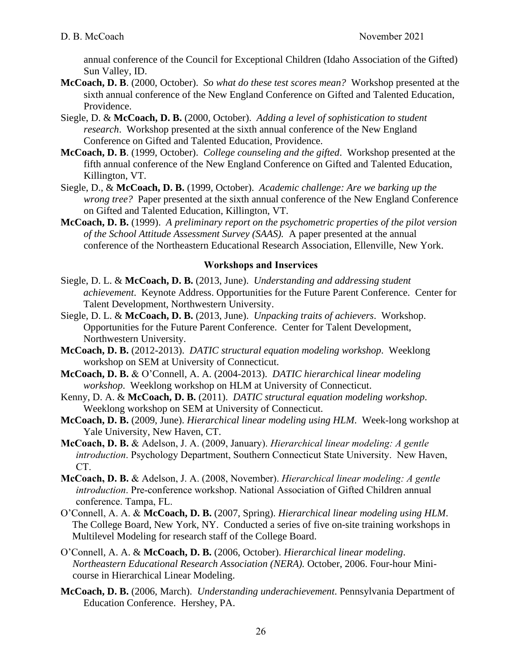annual conference of the Council for Exceptional Children (Idaho Association of the Gifted) Sun Valley, ID.

- **McCoach, D. B**. (2000, October). *So what do these test scores mean?* Workshop presented at the sixth annual conference of the New England Conference on Gifted and Talented Education, Providence.
- Siegle, D. & **McCoach, D. B.** (2000, October). *Adding a level of sophistication to student research*. Workshop presented at the sixth annual conference of the New England Conference on Gifted and Talented Education, Providence.
- **McCoach, D. B**. (1999, October). *College counseling and the gifted*. Workshop presented at the fifth annual conference of the New England Conference on Gifted and Talented Education, Killington, VT.
- Siegle, D., & **McCoach, D. B.** (1999, October). *Academic challenge: Are we barking up the wrong tree?* Paper presented at the sixth annual conference of the New England Conference on Gifted and Talented Education, Killington, VT.
- **McCoach, D. B.** (1999). *A preliminary report on the psychometric properties of the pilot version of the School Attitude Assessment Survey (SAAS).* A paper presented at the annual conference of the Northeastern Educational Research Association, Ellenville, New York.

## **Workshops and Inservices**

- Siegle, D. L. & **McCoach, D. B.** (2013, June). *Understanding and addressing student achievement*. Keynote Address. Opportunities for the Future Parent Conference. Center for Talent Development, Northwestern University.
- Siegle, D. L. & **McCoach, D. B.** (2013, June). *Unpacking traits of achievers*. Workshop. Opportunities for the Future Parent Conference. Center for Talent Development, Northwestern University.
- **McCoach, D. B.** (2012-2013).*DATIC structural equation modeling workshop*. Weeklong workshop on SEM at University of Connecticut.
- **McCoach, D. B.** & O'Connell, A. A. (2004-2013).*DATIC hierarchical linear modeling workshop*. Weeklong workshop on HLM at University of Connecticut.
- Kenny, D. A. & **McCoach, D. B.** (2011).*DATIC structural equation modeling workshop*. Weeklong workshop on SEM at University of Connecticut.
- **McCoach, D. B.** (2009, June). *Hierarchical linear modeling using HLM*. Week-long workshop at Yale University, New Haven, CT.
- **McCoach, D. B.** & Adelson, J. A. (2009, January). *Hierarchical linear modeling: A gentle introduction*. Psychology Department, Southern Connecticut State University. New Haven, CT.
- **McCoach, D. B.** & Adelson, J. A. (2008, November). *Hierarchical linear modeling: A gentle introduction*. Pre-conference workshop. National Association of Gifted Children annual conference. Tampa, FL.
- O'Connell, A. A. & **McCoach, D. B.** (2007, Spring). *Hierarchical linear modeling using HLM*. The College Board, New York, NY. Conducted a series of five on-site training workshops in Multilevel Modeling for research staff of the College Board.
- O'Connell, A. A. & **McCoach, D. B.** (2006, October). *Hierarchical linear modeling*. *Northeastern Educational Research Association (NERA).* October, 2006. Four-hour Minicourse in Hierarchical Linear Modeling.
- **McCoach, D. B.** (2006, March). *Understanding underachievement*. Pennsylvania Department of Education Conference. Hershey, PA.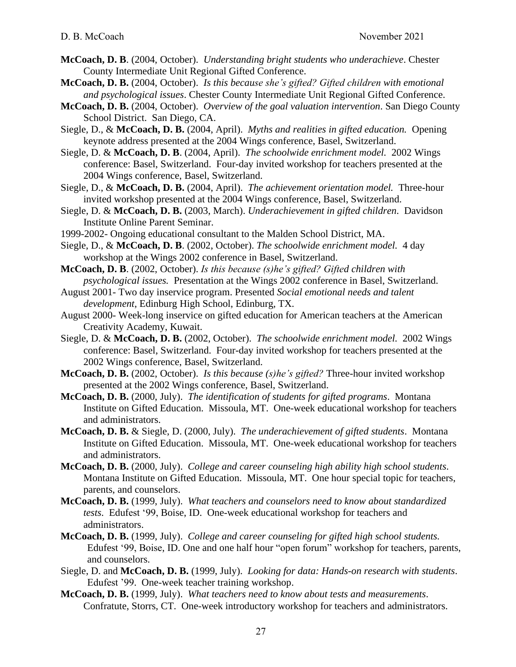- **McCoach, D. B**. (2004, October). *Understanding bright students who underachieve*. Chester County Intermediate Unit Regional Gifted Conference.
- **McCoach, D. B.** (2004, October). *Is this because she's gifted? Gifted children with emotional and psychological issues*. Chester County Intermediate Unit Regional Gifted Conference.
- **McCoach, D. B.** (2004, October). *Overview of the goal valuation intervention*. San Diego County School District. San Diego, CA.
- Siegle, D., & **McCoach, D. B.** (2004, April). *Myths and realities in gifted education.* Opening keynote address presented at the 2004 Wings conference, Basel, Switzerland.
- Siegle, D. & **McCoach, D. B**. (2004, April). *The schoolwide enrichment model.* 2002 Wings conference: Basel, Switzerland. Four-day invited workshop for teachers presented at the 2004 Wings conference, Basel, Switzerland.
- Siegle, D., & **McCoach, D. B.** (2004, April). *The achievement orientation model.* Three-hour invited workshop presented at the 2004 Wings conference, Basel, Switzerland.
- Siegle, D. & **McCoach, D. B.** (2003, March). *Underachievement in gifted children*. Davidson Institute Online Parent Seminar.
- 1999-2002- Ongoing educational consultant to the Malden School District, MA.

Siegle, D., & **McCoach, D. B**. (2002, October). *The schoolwide enrichment model.* 4 day workshop at the Wings 2002 conference in Basel, Switzerland.

- **McCoach, D. B**. (2002, October). *Is this because (s)he's gifted? Gifted children with psychological issues.* Presentation at the Wings 2002 conference in Basel, Switzerland.
- August 2001- Two day inservice program. Presented *Social emotional needs and talent development*, Edinburg High School, Edinburg, TX.
- August 2000- Week-long inservice on gifted education for American teachers at the American Creativity Academy, Kuwait.
- Siegle, D. & **McCoach, D. B.** (2002, October). *The schoolwide enrichment model.* 2002 Wings conference: Basel, Switzerland. Four-day invited workshop for teachers presented at the 2002 Wings conference, Basel, Switzerland.
- **McCoach, D. B.** (2002, October). *Is this because (s)he's gifted?* Three-hour invited workshop presented at the 2002 Wings conference, Basel, Switzerland.
- **McCoach, D. B.** (2000, July). *The identification of students for gifted programs*. Montana Institute on Gifted Education. Missoula, MT. One-week educational workshop for teachers and administrators.
- **McCoach, D. B.** & Siegle, D. (2000, July). *The underachievement of gifted students*. Montana Institute on Gifted Education. Missoula, MT. One-week educational workshop for teachers and administrators.
- **McCoach, D. B.** (2000, July). *College and career counseling high ability high school students*. Montana Institute on Gifted Education. Missoula, MT. One hour special topic for teachers, parents, and counselors.
- **McCoach, D. B.** (1999, July). *What teachers and counselors need to know about standardized tests*. Edufest '99, Boise, ID. One-week educational workshop for teachers and administrators.
- **McCoach, D. B.** (1999, July). *College and career counseling for gifted high school students.*  Edufest '99, Boise, ID. One and one half hour "open forum" workshop for teachers, parents, and counselors.
- Siegle, D. and **McCoach, D. B.** (1999, July). *Looking for data: Hands-on research with students*. Edufest '99. One-week teacher training workshop.
- **McCoach, D. B.** (1999, July). *What teachers need to know about tests and measurements*. Confratute, Storrs, CT. One-week introductory workshop for teachers and administrators.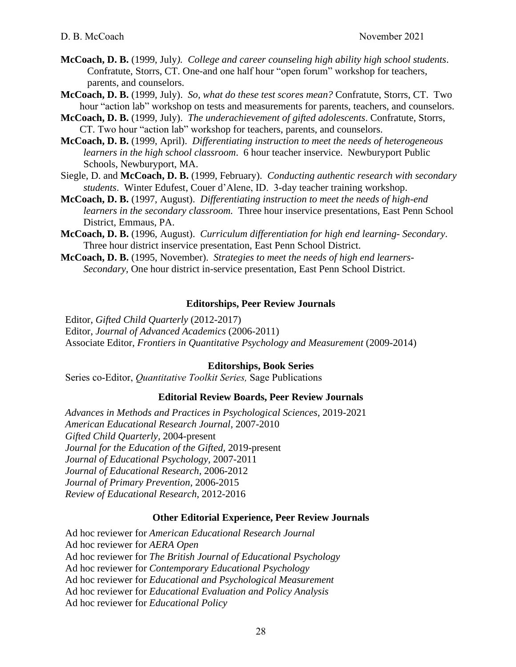- **McCoach, D. B.** (1999, July*). College and career counseling high ability high school students*. Confratute, Storrs, CT. One-and one half hour "open forum" workshop for teachers, parents, and counselors.
- **McCoach, D. B.** (1999, July). *So, what do these test scores mean?* Confratute, Storrs, CT. Two hour "action lab" workshop on tests and measurements for parents, teachers, and counselors.
- **McCoach, D. B.** (1999, July). *The underachievement of gifted adolescents*. Confratute, Storrs, CT. Two hour "action lab" workshop for teachers, parents, and counselors.
- **McCoach, D. B.** (1999, April). *Differentiating instruction to meet the needs of heterogeneous learners in the high school classroom*. 6 hour teacher inservice. Newburyport Public Schools, Newburyport, MA.
- Siegle, D. and **McCoach, D. B.** (1999, February). *Conducting authentic research with secondary students*. Winter Edufest, Couer d'Alene, ID. 3-day teacher training workshop.
- **McCoach, D. B.** (1997, August). *Differentiating instruction to meet the needs of high-end learners in the secondary classroom.* Three hour inservice presentations, East Penn School District, Emmaus, PA.
- **McCoach, D. B.** (1996, August). *Curriculum differentiation for high end learning- Secondary*. Three hour district inservice presentation, East Penn School District.
- **McCoach, D. B.** (1995, November). *Strategies to meet the needs of high end learners-Secondary,* One hour district in-service presentation, East Penn School District.

### **Editorships, Peer Review Journals**

Editor, *Gifted Child Quarterly* (2012-2017)

Editor, *Journal of Advanced Academics* (2006-2011)

Associate Editor, *Frontiers in Quantitative Psychology and Measurement* (2009-2014)

# **Editorships, Book Series**

Series co-Editor, *Quantitative Toolkit Series,* Sage Publications

### **Editorial Review Boards, Peer Review Journals**

*Advances in Methods and Practices in Psychological Sciences*, 2019-2021 *American Educational Research Journal,* 2007-2010 *Gifted Child Quarterly,* 2004-present *Journal for the Education of the Gifted,* 2019-present *Journal of Educational Psychology,* 2007-2011 *Journal of Educational Research,* 2006-2012 *Journal of Primary Prevention,* 2006-2015 *Review of Educational Research*, 2012-2016

### **Other Editorial Experience, Peer Review Journals**

Ad hoc reviewer for *American Educational Research Journal* Ad hoc reviewer for *AERA Open* Ad hoc reviewer for *The British Journal of Educational Psychology* Ad hoc reviewer for *Contemporary Educational Psychology* Ad hoc reviewer for *Educational and Psychological Measurement* Ad hoc reviewer for *Educational Evaluation and Policy Analysis* Ad hoc reviewer for *Educational Policy*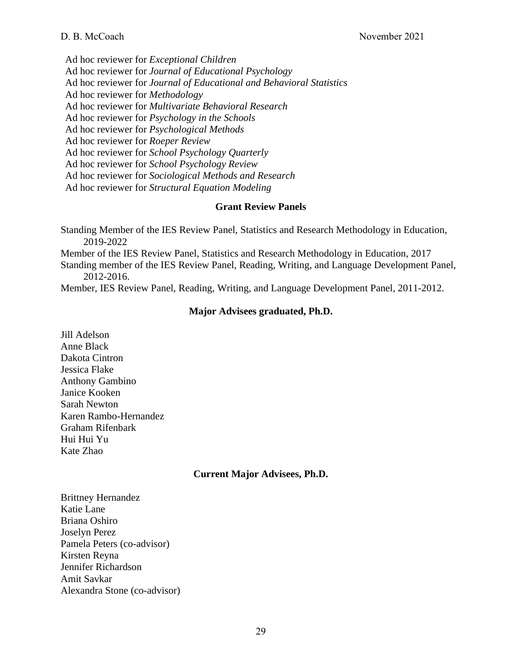## D. B. McCoach November 2021

Ad hoc reviewer for *Exceptional Children* Ad hoc reviewer for *Journal of Educational Psychology* Ad hoc reviewer for *Journal of Educational and Behavioral Statistics* Ad hoc reviewer for *Methodology* Ad hoc reviewer for *Multivariate Behavioral Research* Ad hoc reviewer for *Psychology in the Schools* Ad hoc reviewer for *Psychological Methods* Ad hoc reviewer for *Roeper Review* Ad hoc reviewer for *School Psychology Quarterly* Ad hoc reviewer for *School Psychology Review* Ad hoc reviewer for *Sociological Methods and Research* Ad hoc reviewer for *Structural Equation Modeling*

### **Grant Review Panels**

Standing Member of the IES Review Panel, Statistics and Research Methodology in Education, 2019-2022 Member of the IES Review Panel, Statistics and Research Methodology in Education, 2017 Standing member of the IES Review Panel, Reading, Writing, and Language Development Panel, 2012-2016. Member, IES Review Panel, Reading, Writing, and Language Development Panel, 2011-2012.

# **Major Advisees graduated, Ph.D.**

Jill Adelson Anne Black Dakota Cintron Jessica Flake Anthony Gambino Janice Kooken Sarah Newton Karen Rambo-Hernandez Graham Rifenbark Hui Hui Yu Kate Zhao

# **Current Major Advisees, Ph.D.**

Brittney Hernandez Katie Lane Briana Oshiro Joselyn Perez Pamela Peters (co-advisor) Kirsten Reyna Jennifer Richardson Amit Savkar Alexandra Stone (co-advisor)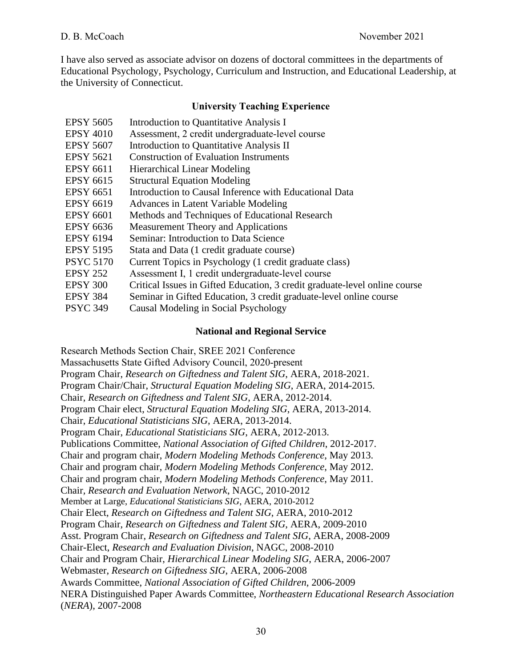I have also served as associate advisor on dozens of doctoral committees in the departments of Educational Psychology, Psychology, Curriculum and Instruction, and Educational Leadership, at the University of Connecticut.

# **University Teaching Experience**

| <b>EPSY 5605</b> | Introduction to Quantitative Analysis I                                    |
|------------------|----------------------------------------------------------------------------|
| <b>EPSY 4010</b> | Assessment, 2 credit undergraduate-level course                            |
| <b>EPSY 5607</b> | Introduction to Quantitative Analysis II                                   |
| <b>EPSY 5621</b> | <b>Construction of Evaluation Instruments</b>                              |
| <b>EPSY 6611</b> | <b>Hierarchical Linear Modeling</b>                                        |
| <b>EPSY 6615</b> | <b>Structural Equation Modeling</b>                                        |
| <b>EPSY 6651</b> | Introduction to Causal Inference with Educational Data                     |
| <b>EPSY 6619</b> | Advances in Latent Variable Modeling                                       |
| <b>EPSY 6601</b> | Methods and Techniques of Educational Research                             |
| <b>EPSY 6636</b> | Measurement Theory and Applications                                        |
| <b>EPSY 6194</b> | Seminar: Introduction to Data Science                                      |
| <b>EPSY 5195</b> | Stata and Data (1 credit graduate course)                                  |
| <b>PSYC 5170</b> | Current Topics in Psychology (1 credit graduate class)                     |
| <b>EPSY 252</b>  | Assessment I, 1 credit undergraduate-level course                          |
| <b>EPSY 300</b>  | Critical Issues in Gifted Education, 3 credit graduate-level online course |
| <b>EPSY 384</b>  | Seminar in Gifted Education, 3 credit graduate-level online course         |
| <b>PSYC 349</b>  | Causal Modeling in Social Psychology                                       |

## **National and Regional Service**

Research Methods Section Chair, SREE 2021 Conference Massachusetts State Gifted Advisory Council, 2020-present Program Chair, *Research on Giftedness and Talent SIG*, AERA, 2018-2021. Program Chair/Chair, *Structural Equation Modeling SIG*, AERA, 2014-2015. Chair, *Research on Giftedness and Talent SIG*, AERA, 2012-2014. Program Chair elect, *Structural Equation Modeling SIG*, AERA, 2013-2014. Chair, *Educational Statisticians SIG*, AERA, 2013-2014. Program Chair, *Educational Statisticians SIG*, AERA, 2012-2013. Publications Committee, *National Association of Gifted Children*, 2012-2017. Chair and program chair, *Modern Modeling Methods Conference*, May 2013. Chair and program chair, *Modern Modeling Methods Conference*, May 2012. Chair and program chair, *Modern Modeling Methods Conference*, May 2011. Chair*, Research and Evaluation Network*, NAGC, 2010-2012 Member at Large, *Educational Statisticians SIG*, AERA, 2010-2012 Chair Elect, *Research on Giftedness and Talent SIG*, AERA, 2010-2012 Program Chair, *Research on Giftedness and Talent SIG*, AERA, 2009-2010 Asst. Program Chair, *Research on Giftedness and Talent SIG*, AERA, 2008-2009 Chair-Elect, *Research and Evaluation Division*, NAGC, 2008-2010 Chair and Program Chair, *Hierarchical Linear Modeling SIG*, AERA, 2006-2007 Webmaster, *Research on Giftedness SIG*, AERA, 2006-2008 Awards Committee, *National Association of Gifted Children*, 2006-2009 NERA Distinguished Paper Awards Committee, *Northeastern Educational Research Association* (*NERA*), 2007-2008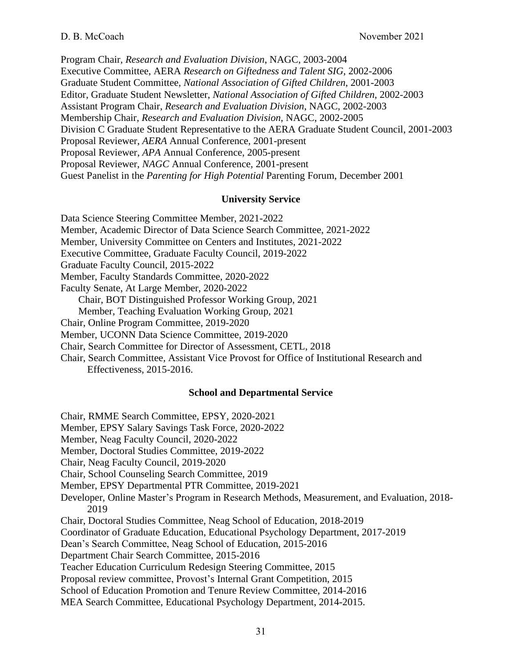Program Chair, *Research and Evaluation Division*, NAGC, 2003-2004 Executive Committee, AERA *Research on Giftedness and Talent SIG*, 2002-2006 Graduate Student Committee, *National Association of Gifted Children*, 2001-2003 Editor, Graduate Student Newsletter, *National Association of Gifted Children*, 2002-2003 Assistant Program Chair, *Research and Evaluation Division*, NAGC, 2002-2003 Membership Chair, *Research and Evaluation Division*, NAGC, 2002-2005 Division C Graduate Student Representative to the AERA Graduate Student Council, 2001-2003 Proposal Reviewer, *AERA* Annual Conference, 2001-present Proposal Reviewer, *APA* Annual Conference, 2005-present Proposal Reviewer, *NAGC* Annual Conference, 2001-present Guest Panelist in the *Parenting for High Potential* Parenting Forum, December 2001

## **University Service**

Data Science Steering Committee Member, 2021-2022 Member, Academic Director of Data Science Search Committee, 2021-2022 Member, University Committee on Centers and Institutes, 2021-2022 Executive Committee, Graduate Faculty Council, 2019-2022 Graduate Faculty Council, 2015-2022 Member, Faculty Standards Committee, 2020-2022 Faculty Senate, At Large Member, 2020-2022 Chair, BOT Distinguished Professor Working Group, 2021 Member, Teaching Evaluation Working Group, 2021 Chair, Online Program Committee, 2019-2020 Member, UCONN Data Science Committee, 2019-2020 Chair, Search Committee for Director of Assessment, CETL, 2018 Chair, Search Committee, Assistant Vice Provost for Office of Institutional Research and Effectiveness, 2015-2016. **School and Departmental Service**

Chair, RMME Search Committee, EPSY, 2020-2021

Member, EPSY Salary Savings Task Force, 2020-2022

Member, Neag Faculty Council, 2020-2022

Member, Doctoral Studies Committee, 2019-2022

Chair, Neag Faculty Council, 2019-2020

Chair, School Counseling Search Committee, 2019

Member, EPSY Departmental PTR Committee, 2019-2021

Developer, Online Master's Program in Research Methods, Measurement, and Evaluation, 2018- 2019

Chair, Doctoral Studies Committee, Neag School of Education, 2018-2019

Coordinator of Graduate Education, Educational Psychology Department, 2017-2019

Dean's Search Committee, Neag School of Education, 2015-2016

Department Chair Search Committee, 2015-2016

Teacher Education Curriculum Redesign Steering Committee, 2015

Proposal review committee, Provost's Internal Grant Competition, 2015

School of Education Promotion and Tenure Review Committee, 2014-2016

MEA Search Committee, Educational Psychology Department, 2014-2015.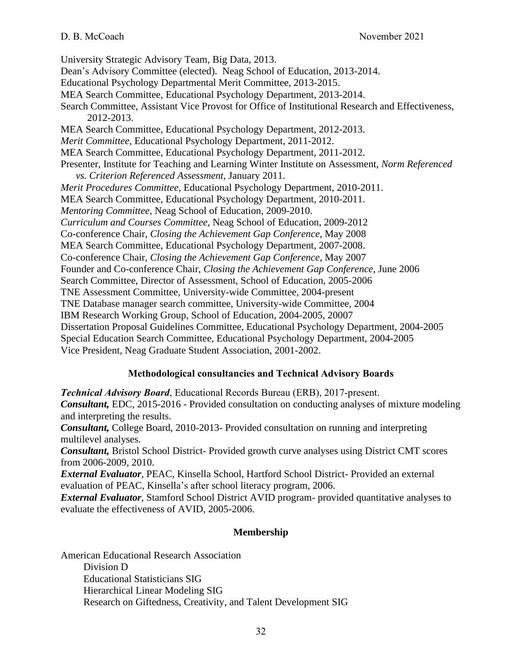University Strategic Advisory Team, Big Data, 2013. Dean's Advisory Committee (elected). Neag School of Education, 2013-2014. Educational Psychology Departmental Merit Committee, 2013-2015. MEA Search Committee, Educational Psychology Department, 2013-2014. Search Committee, Assistant Vice Provost for Office of Institutional Research and Effectiveness, 2012-2013. MEA Search Committee, Educational Psychology Department, 2012-2013. *Merit Committee,* Educational Psychology Department, 2011-2012. MEA Search Committee, Educational Psychology Department, 2011-2012. Presenter, Institute for Teaching and Learning Winter Institute on Assessment, *Norm Referenced vs. Criterion Referenced Assessment,* January 2011. *Merit Procedures Committee,* Educational Psychology Department, 2010-2011. MEA Search Committee, Educational Psychology Department, 2010-2011. *Mentoring Committee,* Neag School of Education, 2009-2010. *Curriculum and Courses Committee*, Neag School of Education, 2009-2012 Co-conference Chair, *Closing the Achievement Gap Conference*, May 2008 MEA Search Committee, Educational Psychology Department, 2007-2008. Co-conference Chair, *Closing the Achievement Gap Conference*, May 2007 Founder and Co-conference Chair, *Closing the Achievement Gap Conference*, June 2006 Search Committee, Director of Assessment, School of Education, 2005-2006 TNE Assessment Committee, University-wide Committee, 2004-present TNE Database manager search committee, University-wide Committee, 2004 IBM Research Working Group, School of Education, 2004-2005, 20007 Dissertation Proposal Guidelines Committee, Educational Psychology Department, 2004-2005 Special Education Search Committee, Educational Psychology Department, 2004-2005 Vice President, Neag Graduate Student Association, 2001-2002.

# **Methodological consultancies and Technical Advisory Boards**

*Technical Advisory Board*, Educational Records Bureau (ERB), 2017-present. *Consultant,* EDC, 2015-2016 - Provided consultation on conducting analyses of mixture modeling and interpreting the results. *Consultant,* College Board, 2010-2013- Provided consultation on running and interpreting multilevel analyses. *Consultant,* Bristol School District- Provided growth curve analyses using District CMT scores from 2006-2009, 2010. *External Evaluator*, PEAC, Kinsella School, Hartford School District- Provided an external evaluation of PEAC, Kinsella's after school literacy program, 2006.

*External Evaluator*, Stamford School District AVID program- provided quantitative analyses to evaluate the effectiveness of AVID, 2005-2006.

# **Membership**

American Educational Research Association Division D Educational Statisticians SIG Hierarchical Linear Modeling SIG Research on Giftedness, Creativity, and Talent Development SIG